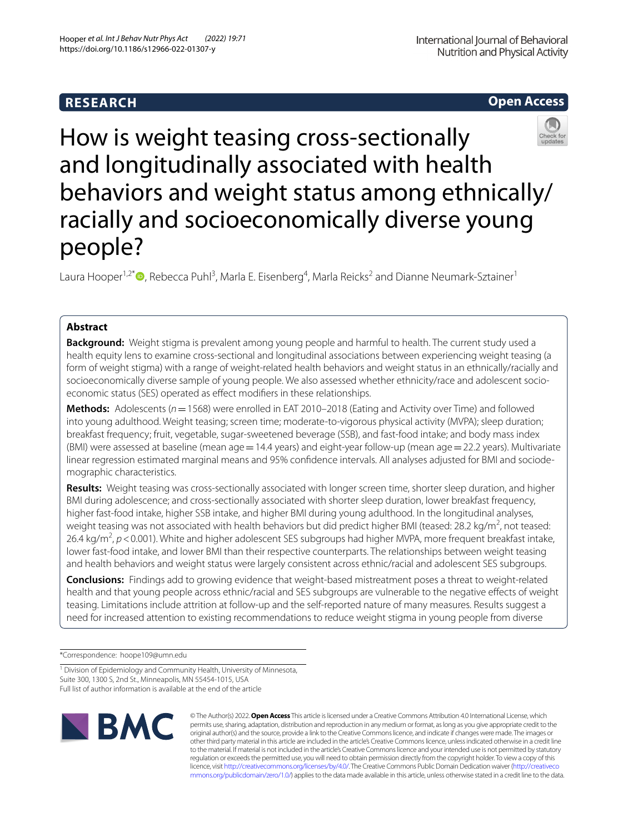# **RESEARCH**

# **Open Access**



How is weight teasing cross-sectionally and longitudinally associated with health behaviors and weight status among ethnically/ racially and socioeconomically diverse young people?

Laura Hooper<sup>1[,](http://orcid.org/0000-0003-4872-8255)2\*</sup> <sup>D</sup>, Rebecca Puhl<sup>3</sup>, Marla E. Eisenberg<sup>4</sup>, Marla Reicks<sup>2</sup> and Dianne Neumark-Sztainer<sup>1</sup>

# **Abstract**

**Background:** Weight stigma is prevalent among young people and harmful to health. The current study used a health equity lens to examine cross-sectional and longitudinal associations between experiencing weight teasing (a form of weight stigma) with a range of weight-related health behaviors and weight status in an ethnically/racially and socioeconomically diverse sample of young people. We also assessed whether ethnicity/race and adolescent socioeconomic status (SES) operated as effect modifiers in these relationships.

**Methods:** Adolescents (*n*=1568) were enrolled in EAT 2010–2018 (Eating and Activity over Time) and followed into young adulthood. Weight teasing; screen time; moderate-to-vigorous physical activity (MVPA); sleep duration; breakfast frequency; fruit, vegetable, sugar-sweetened beverage (SSB), and fast-food intake; and body mass index (BMI) were assessed at baseline (mean age=14.4 years) and eight-year follow-up (mean age=22.2 years). Multivariate linear regression estimated marginal means and 95% confidence intervals. All analyses adjusted for BMI and sociodemographic characteristics.

**Results:** Weight teasing was cross-sectionally associated with longer screen time, shorter sleep duration, and higher BMI during adolescence; and cross-sectionally associated with shorter sleep duration, lower breakfast frequency, higher fast-food intake, higher SSB intake, and higher BMI during young adulthood. In the longitudinal analyses, weight teasing was not associated with health behaviors but did predict higher BMI (teased: 28.2 kg/m<sup>2</sup>, not teased: 26.4 kg/m<sup>2</sup>, p < 0.001). White and higher adolescent SES subgroups had higher MVPA, more frequent breakfast intake, lower fast-food intake, and lower BMI than their respective counterparts. The relationships between weight teasing and health behaviors and weight status were largely consistent across ethnic/racial and adolescent SES subgroups.

**Conclusions:** Findings add to growing evidence that weight-based mistreatment poses a threat to weight-related health and that young people across ethnic/racial and SES subgroups are vulnerable to the negative efects of weight teasing. Limitations include attrition at follow-up and the self-reported nature of many measures. Results suggest a need for increased attention to existing recommendations to reduce weight stigma in young people from diverse

\*Correspondence: hoope109@umn.edu

<sup>1</sup> Division of Epidemiology and Community Health, University of Minnesota, Suite 300, 1300 S, 2nd St., Minneapolis, MN 55454‑1015, USA Full list of author information is available at the end of the article



© The Author(s) 2022. **Open Access** This article is licensed under a Creative Commons Attribution 4.0 International License, which permits use, sharing, adaptation, distribution and reproduction in any medium or format, as long as you give appropriate credit to the original author(s) and the source, provide a link to the Creative Commons licence, and indicate if changes were made. The images or other third party material in this article are included in the article's Creative Commons licence, unless indicated otherwise in a credit line to the material. If material is not included in the article's Creative Commons licence and your intended use is not permitted by statutory regulation or exceeds the permitted use, you will need to obtain permission directly from the copyright holder. To view a copy of this licence, visit [http://creativecommons.org/licenses/by/4.0/.](http://creativecommons.org/licenses/by/4.0/) The Creative Commons Public Domain Dedication waiver ([http://creativeco](http://creativecommons.org/publicdomain/zero/1.0/) [mmons.org/publicdomain/zero/1.0/](http://creativecommons.org/publicdomain/zero/1.0/)) applies to the data made available in this article, unless otherwise stated in a credit line to the data.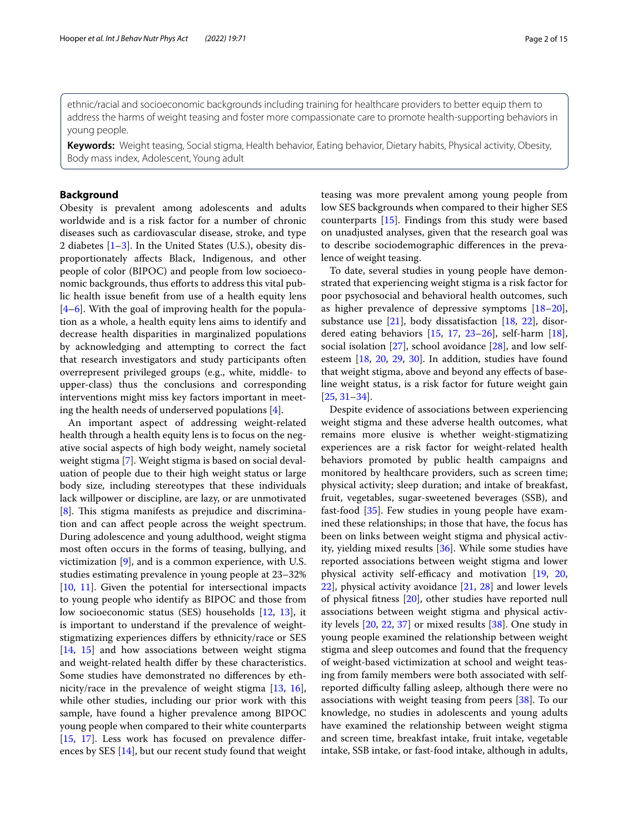ethnic/racial and socioeconomic backgrounds including training for healthcare providers to better equip them to address the harms of weight teasing and foster more compassionate care to promote health-supporting behaviors in young people.

**Keywords:** Weight teasing, Social stigma, Health behavior, Eating behavior, Dietary habits, Physical activity, Obesity, Body mass index, Adolescent, Young adult

# **Background**

Obesity is prevalent among adolescents and adults worldwide and is a risk factor for a number of chronic diseases such as cardiovascular disease, stroke, and type 2 diabetes [\[1](#page-11-0)[–3](#page-12-0)]. In the United States (U.S.), obesity disproportionately afects Black, Indigenous, and other people of color (BIPOC) and people from low socioeconomic backgrounds, thus efforts to address this vital public health issue beneft from use of a health equity lens [[4–](#page-12-1)[6\]](#page-12-2). With the goal of improving health for the population as a whole, a health equity lens aims to identify and decrease health disparities in marginalized populations by acknowledging and attempting to correct the fact that research investigators and study participants often overrepresent privileged groups (e.g., white, middle- to upper-class) thus the conclusions and corresponding interventions might miss key factors important in meeting the health needs of underserved populations [[4\]](#page-12-1).

An important aspect of addressing weight-related health through a health equity lens is to focus on the negative social aspects of high body weight, namely societal weight stigma [[7\]](#page-12-3). Weight stigma is based on social devaluation of people due to their high weight status or large body size, including stereotypes that these individuals lack willpower or discipline, are lazy, or are unmotivated [[8\]](#page-12-4). This stigma manifests as prejudice and discrimination and can afect people across the weight spectrum. During adolescence and young adulthood, weight stigma most often occurs in the forms of teasing, bullying, and victimization [[9\]](#page-12-5), and is a common experience, with U.S. studies estimating prevalence in young people at 23–32% [[10,](#page-12-6) [11](#page-12-7)]. Given the potential for intersectional impacts to young people who identify as BIPOC and those from low socioeconomic status (SES) households [\[12,](#page-12-8) [13](#page-12-9)], it is important to understand if the prevalence of weightstigmatizing experiences difers by ethnicity/race or SES [[14,](#page-12-10) [15\]](#page-12-11) and how associations between weight stigma and weight-related health difer by these characteristics. Some studies have demonstrated no diferences by ethnicity/race in the prevalence of weight stigma [\[13](#page-12-9), [16](#page-12-12)], while other studies, including our prior work with this sample, have found a higher prevalence among BIPOC young people when compared to their white counterparts [[15,](#page-12-11) [17\]](#page-12-13). Less work has focused on prevalence diferences by SES [[14\]](#page-12-10), but our recent study found that weight teasing was more prevalent among young people from low SES backgrounds when compared to their higher SES counterparts [\[15](#page-12-11)]. Findings from this study were based on unadjusted analyses, given that the research goal was to describe sociodemographic diferences in the prevalence of weight teasing.

To date, several studies in young people have demonstrated that experiencing weight stigma is a risk factor for poor psychosocial and behavioral health outcomes, such as higher prevalence of depressive symptoms [[18](#page-12-14)[–20](#page-12-15)], substance use  $[21]$  $[21]$ , body dissatisfaction  $[18, 22]$  $[18, 22]$  $[18, 22]$  $[18, 22]$ , disordered eating behaviors [\[15](#page-12-11), [17,](#page-12-13) [23](#page-12-18)–[26\]](#page-12-19), self-harm [\[18](#page-12-14)], social isolation  $[27]$  $[27]$ , school avoidance  $[28]$ , and low selfesteem [\[18](#page-12-14), [20](#page-12-15), [29,](#page-12-22) [30\]](#page-12-23). In addition, studies have found that weight stigma, above and beyond any efects of baseline weight status, is a risk factor for future weight gain [[25,](#page-12-24) [31](#page-12-25)[–34\]](#page-12-26).

Despite evidence of associations between experiencing weight stigma and these adverse health outcomes, what remains more elusive is whether weight-stigmatizing experiences are a risk factor for weight-related health behaviors promoted by public health campaigns and monitored by healthcare providers, such as screen time; physical activity; sleep duration; and intake of breakfast, fruit, vegetables, sugar-sweetened beverages (SSB), and fast-food [\[35](#page-12-27)]. Few studies in young people have examined these relationships; in those that have, the focus has been on links between weight stigma and physical activity, yielding mixed results [\[36\]](#page-12-28). While some studies have reported associations between weight stigma and lower physical activity self-efficacy and motivation  $[19, 20, 10]$  $[19, 20, 10]$  $[19, 20, 10]$  $[19, 20, 10]$  $[19, 20, 10]$ [22\]](#page-12-17), physical activity avoidance [[21,](#page-12-16) [28](#page-12-21)] and lower levels of physical ftness [[20](#page-12-15)], other studies have reported null associations between weight stigma and physical activity levels [[20,](#page-12-15) [22,](#page-12-17) [37\]](#page-12-30) or mixed results [[38](#page-12-31)]. One study in young people examined the relationship between weight stigma and sleep outcomes and found that the frequency of weight-based victimization at school and weight teasing from family members were both associated with selfreported difficulty falling asleep, although there were no associations with weight teasing from peers [\[38](#page-12-31)]. To our knowledge, no studies in adolescents and young adults have examined the relationship between weight stigma and screen time, breakfast intake, fruit intake, vegetable intake, SSB intake, or fast-food intake, although in adults,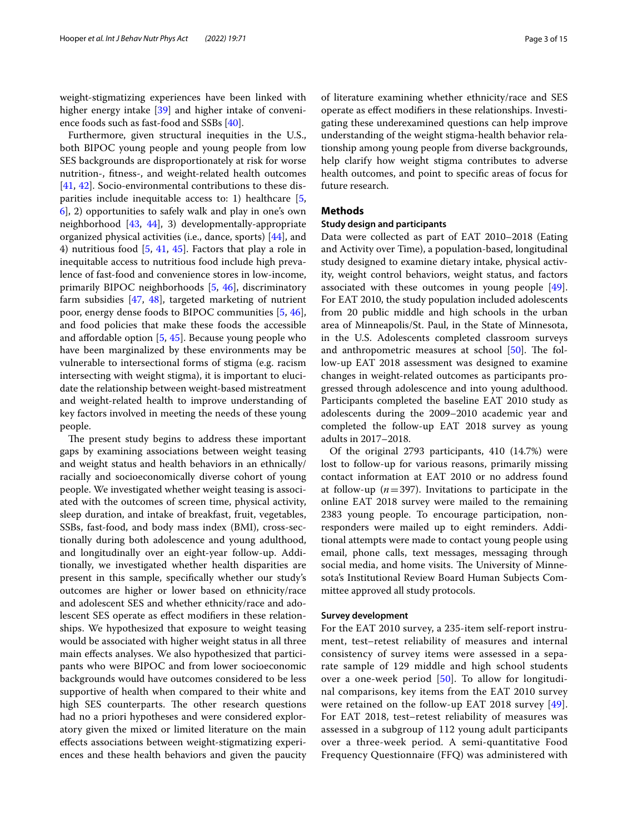weight-stigmatizing experiences have been linked with higher energy intake [\[39](#page-12-32)] and higher intake of convenience foods such as fast-food and SSBs [\[40\]](#page-12-33).

Furthermore, given structural inequities in the U.S., both BIPOC young people and young people from low SES backgrounds are disproportionately at risk for worse nutrition-, ftness-, and weight-related health outcomes [[41,](#page-12-34) [42\]](#page-12-35). Socio-environmental contributions to these disparities include inequitable access to: 1) healthcare [\[5](#page-12-36), [6\]](#page-12-2), 2) opportunities to safely walk and play in one's own neighborhood [[43](#page-12-37), [44](#page-13-0)], 3) developmentally-appropriate organized physical activities (i.e., dance, sports) [\[44](#page-13-0)], and 4) nutritious food [[5](#page-12-36), [41,](#page-12-34) [45](#page-13-1)]. Factors that play a role in inequitable access to nutritious food include high prevalence of fast-food and convenience stores in low-income, primarily BIPOC neighborhoods [\[5](#page-12-36), [46](#page-13-2)], discriminatory farm subsidies [[47,](#page-13-3) [48](#page-13-4)], targeted marketing of nutrient poor, energy dense foods to BIPOC communities [\[5](#page-12-36), [46](#page-13-2)], and food policies that make these foods the accessible and afordable option [\[5](#page-12-36), [45\]](#page-13-1). Because young people who have been marginalized by these environments may be vulnerable to intersectional forms of stigma (e.g. racism intersecting with weight stigma), it is important to elucidate the relationship between weight-based mistreatment and weight-related health to improve understanding of key factors involved in meeting the needs of these young people.

The present study begins to address these important gaps by examining associations between weight teasing and weight status and health behaviors in an ethnically/ racially and socioeconomically diverse cohort of young people. We investigated whether weight teasing is associated with the outcomes of screen time, physical activity, sleep duration, and intake of breakfast, fruit, vegetables, SSBs, fast-food, and body mass index (BMI), cross-sectionally during both adolescence and young adulthood, and longitudinally over an eight-year follow-up. Additionally, we investigated whether health disparities are present in this sample, specifcally whether our study's outcomes are higher or lower based on ethnicity/race and adolescent SES and whether ethnicity/race and adolescent SES operate as efect modifers in these relationships. We hypothesized that exposure to weight teasing would be associated with higher weight status in all three main efects analyses. We also hypothesized that participants who were BIPOC and from lower socioeconomic backgrounds would have outcomes considered to be less supportive of health when compared to their white and high SES counterparts. The other research questions had no a priori hypotheses and were considered exploratory given the mixed or limited literature on the main efects associations between weight-stigmatizing experiences and these health behaviors and given the paucity of literature examining whether ethnicity/race and SES operate as efect modifers in these relationships. Investigating these underexamined questions can help improve understanding of the weight stigma-health behavior relationship among young people from diverse backgrounds, help clarify how weight stigma contributes to adverse health outcomes, and point to specifc areas of focus for

# **Methods**

future research.

### **Study design and participants**

Data were collected as part of EAT 2010–2018 (Eating and Activity over Time), a population-based, longitudinal study designed to examine dietary intake, physical activity, weight control behaviors, weight status, and factors associated with these outcomes in young people [\[49](#page-13-5)]. For EAT 2010, the study population included adolescents from 20 public middle and high schools in the urban area of Minneapolis/St. Paul, in the State of Minnesota, in the U.S. Adolescents completed classroom surveys and anthropometric measures at school  $[50]$  $[50]$ . The follow-up EAT 2018 assessment was designed to examine changes in weight-related outcomes as participants progressed through adolescence and into young adulthood. Participants completed the baseline EAT 2010 study as adolescents during the 2009–2010 academic year and completed the follow-up EAT 2018 survey as young adults in 2017–2018.

Of the original 2793 participants, 410 (14.7%) were lost to follow-up for various reasons, primarily missing contact information at EAT 2010 or no address found at follow-up  $(n=397)$ . Invitations to participate in the online EAT 2018 survey were mailed to the remaining 2383 young people. To encourage participation, nonresponders were mailed up to eight reminders. Additional attempts were made to contact young people using email, phone calls, text messages, messaging through social media, and home visits. The University of Minnesota's Institutional Review Board Human Subjects Committee approved all study protocols.

# **Survey development**

For the EAT 2010 survey, a 235-item self-report instrument, test–retest reliability of measures and internal consistency of survey items were assessed in a separate sample of 129 middle and high school students over a one-week period [\[50\]](#page-13-6). To allow for longitudinal comparisons, key items from the EAT 2010 survey were retained on the follow-up EAT 2018 survey [[49](#page-13-5)]. For EAT 2018, test–retest reliability of measures was assessed in a subgroup of 112 young adult participants over a three-week period. A semi-quantitative Food Frequency Questionnaire (FFQ) was administered with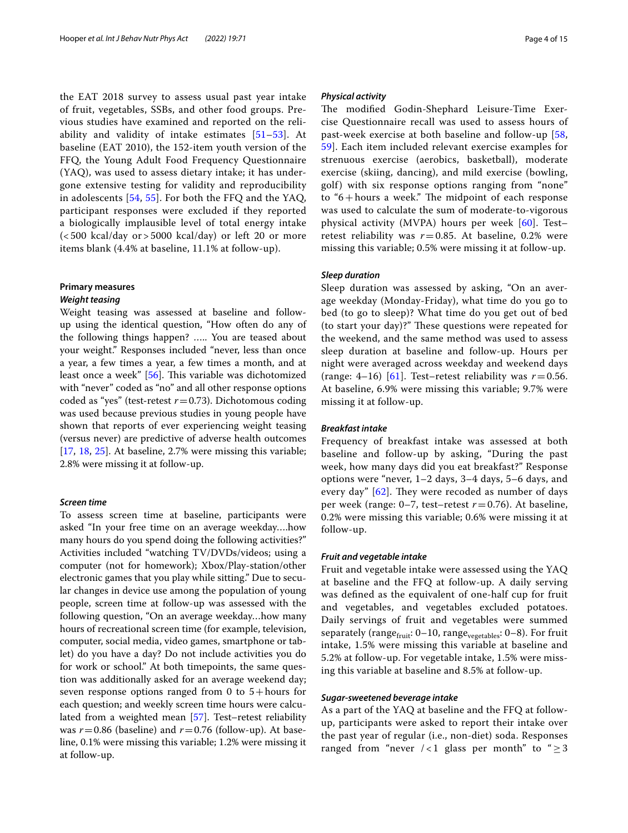the EAT 2018 survey to assess usual past year intake of fruit, vegetables, SSBs, and other food groups. Previous studies have examined and reported on the reliability and validity of intake estimates  $[51–53]$  $[51–53]$ . At baseline (EAT 2010), the 152-item youth version of the FFQ, the Young Adult Food Frequency Questionnaire (YAQ), was used to assess dietary intake; it has undergone extensive testing for validity and reproducibility in adolescents [[54,](#page-13-9) [55](#page-13-10)]. For both the FFQ and the YAQ, participant responses were excluded if they reported a biologically implausible level of total energy intake  $(<500$  kcal/day or  $>5000$  kcal/day) or left 20 or more items blank (4.4% at baseline, 11.1% at follow-up).

# **Primary measures** *Weight teasing*

Weight teasing was assessed at baseline and followup using the identical question, "How often do any of the following things happen? ….. You are teased about your weight." Responses included "never, less than once a year, a few times a year, a few times a month, and at least once a week" [\[56](#page-13-11)]. This variable was dichotomized with "never" coded as "no" and all other response options coded as "yes" (test-retest  $r = 0.73$ ). Dichotomous coding was used because previous studies in young people have shown that reports of ever experiencing weight teasing (versus never) are predictive of adverse health outcomes [[17,](#page-12-13) [18,](#page-12-14) [25\]](#page-12-24). At baseline, 2.7% were missing this variable; 2.8% were missing it at follow-up.

# *Screen time*

To assess screen time at baseline, participants were asked "In your free time on an average weekday….how many hours do you spend doing the following activities?" Activities included "watching TV/DVDs/videos; using a computer (not for homework); Xbox/Play-station/other electronic games that you play while sitting." Due to secular changes in device use among the population of young people, screen time at follow-up was assessed with the following question, "On an average weekday…how many hours of recreational screen time (for example, television, computer, social media, video games, smartphone or tablet) do you have a day? Do not include activities you do for work or school." At both timepoints, the same question was additionally asked for an average weekend day; seven response options ranged from 0 to  $5 +$ hours for each question; and weekly screen time hours were calculated from a weighted mean [\[57](#page-13-12)]. Test–retest reliability was  $r = 0.86$  (baseline) and  $r = 0.76$  (follow-up). At baseline, 0.1% were missing this variable; 1.2% were missing it at follow-up.

### *Physical activity*

The modified Godin-Shephard Leisure-Time Exercise Questionnaire recall was used to assess hours of past-week exercise at both baseline and follow-up [\[58](#page-13-13), [59\]](#page-13-14). Each item included relevant exercise examples for strenuous exercise (aerobics, basketball), moderate exercise (skiing, dancing), and mild exercise (bowling, golf) with six response options ranging from "none" to " $6 +$ hours a week." The midpoint of each response was used to calculate the sum of moderate-to-vigorous physical activity (MVPA) hours per week [[60](#page-13-15)]. Test– retest reliability was  $r=0.85$ . At baseline, 0.2% were missing this variable; 0.5% were missing it at follow-up.

# *Sleep duration*

Sleep duration was assessed by asking, "On an average weekday (Monday-Friday), what time do you go to bed (to go to sleep)? What time do you get out of bed (to start your day)?" These questions were repeated for the weekend, and the same method was used to assess sleep duration at baseline and follow-up. Hours per night were averaged across weekday and weekend days (range: 4–16) [[61\]](#page-13-16). Test–retest reliability was  $r = 0.56$ . At baseline, 6.9% were missing this variable; 9.7% were missing it at follow-up.

### *Breakfast intake*

Frequency of breakfast intake was assessed at both baseline and follow-up by asking, "During the past week, how many days did you eat breakfast?" Response options were "never, 1–2 days, 3–4 days, 5–6 days, and every day"  $[62]$  $[62]$ . They were recoded as number of days per week (range:  $0-7$ , test–retest  $r=0.76$ ). At baseline, 0.2% were missing this variable; 0.6% were missing it at follow-up.

# *Fruit and vegetable intake*

Fruit and vegetable intake were assessed using the YAQ at baseline and the FFQ at follow-up. A daily serving was defned as the equivalent of one-half cup for fruit and vegetables, and vegetables excluded potatoes. Daily servings of fruit and vegetables were summed separately (range $_{\text{fruit}}$ : 0–10, range<sub>vegetables</sub>: 0–8). For fruit intake, 1.5% were missing this variable at baseline and 5.2% at follow-up. For vegetable intake, 1.5% were missing this variable at baseline and 8.5% at follow-up.

### *Sugar‑sweetened beverage intake*

As a part of the YAQ at baseline and the FFQ at followup, participants were asked to report their intake over the past year of regular (i.e., non-diet) soda. Responses ranged from "never /<1 glass per month" to " $\geq$ 3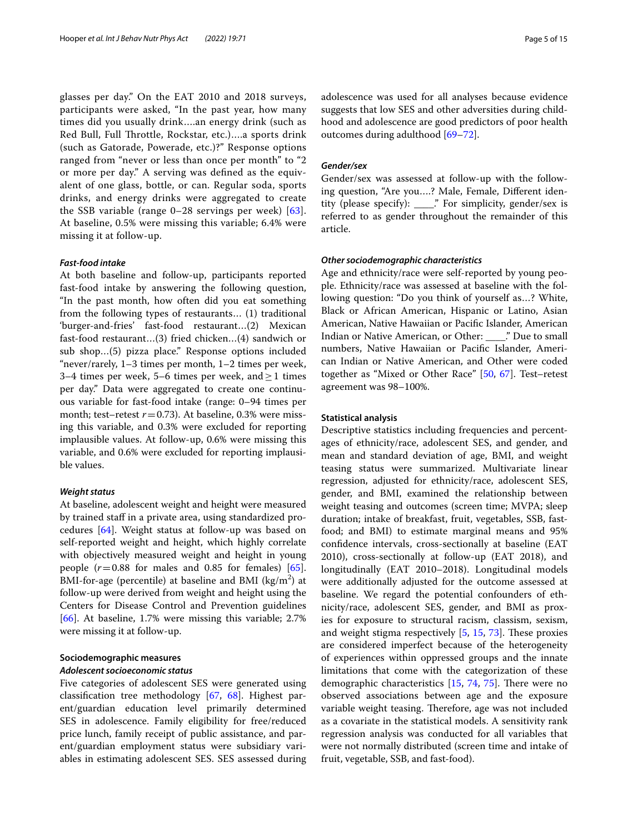glasses per day." On the EAT 2010 and 2018 surveys, participants were asked, "In the past year, how many times did you usually drink….an energy drink (such as Red Bull, Full Throttle, Rockstar, etc.)....a sports drink (such as Gatorade, Powerade, etc.)?" Response options ranged from "never or less than once per month" to "2 or more per day." A serving was defned as the equivalent of one glass, bottle, or can. Regular soda, sports drinks, and energy drinks were aggregated to create the SSB variable (range 0–28 servings per week) [[63\]](#page-13-18). At baseline, 0.5% were missing this variable; 6.4% were missing it at follow-up.

### *Fast‑food intake*

At both baseline and follow-up, participants reported fast-food intake by answering the following question, "In the past month, how often did you eat something from the following types of restaurants… (1) traditional 'burger-and-fries' fast-food restaurant…(2) Mexican fast-food restaurant…(3) fried chicken…(4) sandwich or sub shop…(5) pizza place." Response options included "never/rarely, 1–3 times per month, 1–2 times per week, 3–4 times per week, 5–6 times per week, and  $\geq$  1 times per day." Data were aggregated to create one continuous variable for fast-food intake (range: 0–94 times per month; test–retest  $r = 0.73$ ). At baseline, 0.3% were missing this variable, and 0.3% were excluded for reporting implausible values. At follow-up, 0.6% were missing this variable, and 0.6% were excluded for reporting implausible values.

### *Weight status*

At baseline, adolescent weight and height were measured by trained staff in a private area, using standardized procedures [[64](#page-13-19)]. Weight status at follow-up was based on self-reported weight and height, which highly correlate with objectively measured weight and height in young people  $(r=0.88$  for males and 0.85 for females) [\[65](#page-13-20)]. BMI-for-age (percentile) at baseline and BMI (kg/m<sup>2</sup>) at follow-up were derived from weight and height using the Centers for Disease Control and Prevention guidelines [[66\]](#page-13-21). At baseline, 1.7% were missing this variable; 2.7% were missing it at follow-up.

# **Sociodemographic measures** *Adolescent socioeconomic status*

Five categories of adolescent SES were generated using classifcation tree methodology [[67](#page-13-22), [68\]](#page-13-23). Highest parent/guardian education level primarily determined SES in adolescence. Family eligibility for free/reduced price lunch, family receipt of public assistance, and parent/guardian employment status were subsidiary variables in estimating adolescent SES. SES assessed during adolescence was used for all analyses because evidence suggests that low SES and other adversities during childhood and adolescence are good predictors of poor health outcomes during adulthood [[69–](#page-13-24)[72](#page-13-25)].

# *Gender/sex*

Gender/sex was assessed at follow-up with the following question, "Are you….? Male, Female, Diferent identity (please specify): \_\_\_\_." For simplicity, gender/sex is referred to as gender throughout the remainder of this article.

# *Other sociodemographic characteristics*

Age and ethnicity/race were self-reported by young people. Ethnicity/race was assessed at baseline with the following question: "Do you think of yourself as…? White, Black or African American, Hispanic or Latino, Asian American, Native Hawaiian or Pacifc Islander, American Indian or Native American, or Other: \_\_\_\_." Due to small numbers, Native Hawaiian or Pacifc Islander, American Indian or Native American, and Other were coded together as "Mixed or Other Race" [\[50](#page-13-6), [67\]](#page-13-22). Test–retest agreement was 98–100%.

# **Statistical analysis**

Descriptive statistics including frequencies and percentages of ethnicity/race, adolescent SES, and gender, and mean and standard deviation of age, BMI, and weight teasing status were summarized. Multivariate linear regression, adjusted for ethnicity/race, adolescent SES, gender, and BMI, examined the relationship between weight teasing and outcomes (screen time; MVPA; sleep duration; intake of breakfast, fruit, vegetables, SSB, fastfood; and BMI) to estimate marginal means and 95% confdence intervals, cross-sectionally at baseline (EAT 2010), cross-sectionally at follow-up (EAT 2018), and longitudinally (EAT 2010–2018). Longitudinal models were additionally adjusted for the outcome assessed at baseline. We regard the potential confounders of ethnicity/race, adolescent SES, gender, and BMI as proxies for exposure to structural racism, classism, sexism, and weight stigma respectively  $[5, 15, 73]$  $[5, 15, 73]$  $[5, 15, 73]$  $[5, 15, 73]$  $[5, 15, 73]$ . These proxies are considered imperfect because of the heterogeneity of experiences within oppressed groups and the innate limitations that come with the categorization of these demographic characteristics  $[15, 74, 75]$  $[15, 74, 75]$  $[15, 74, 75]$  $[15, 74, 75]$  $[15, 74, 75]$  $[15, 74, 75]$ . There were no observed associations between age and the exposure variable weight teasing. Therefore, age was not included as a covariate in the statistical models. A sensitivity rank regression analysis was conducted for all variables that were not normally distributed (screen time and intake of fruit, vegetable, SSB, and fast-food).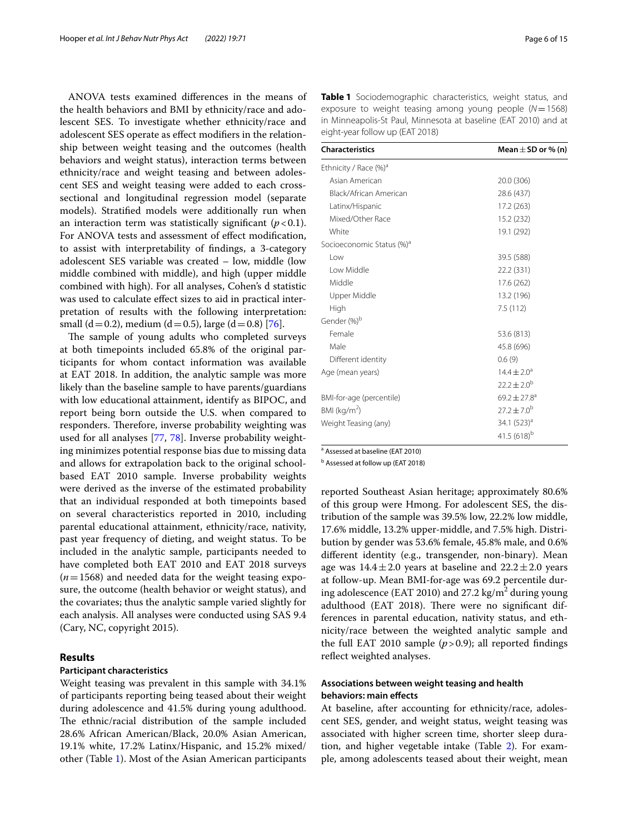ANOVA tests examined diferences in the means of the health behaviors and BMI by ethnicity/race and adolescent SES. To investigate whether ethnicity/race and adolescent SES operate as efect modifers in the relationship between weight teasing and the outcomes (health behaviors and weight status), interaction terms between ethnicity/race and weight teasing and between adolescent SES and weight teasing were added to each crosssectional and longitudinal regression model (separate models). Stratifed models were additionally run when an interaction term was statistically significant  $(p < 0.1)$ . For ANOVA tests and assessment of efect modifcation, to assist with interpretability of fndings, a 3-category adolescent SES variable was created – low, middle (low middle combined with middle), and high (upper middle combined with high). For all analyses, Cohen's d statistic was used to calculate efect sizes to aid in practical interpretation of results with the following interpretation: small (d = 0.2), medium (d = 0.5), large (d = 0.8) [[76\]](#page-13-29).

The sample of young adults who completed surveys at both timepoints included 65.8% of the original participants for whom contact information was available at EAT 2018. In addition, the analytic sample was more likely than the baseline sample to have parents/guardians with low educational attainment, identify as BIPOC, and report being born outside the U.S. when compared to responders. Therefore, inverse probability weighting was used for all analyses [\[77](#page-13-30), [78](#page-13-31)]. Inverse probability weighting minimizes potential response bias due to missing data and allows for extrapolation back to the original schoolbased EAT 2010 sample. Inverse probability weights were derived as the inverse of the estimated probability that an individual responded at both timepoints based on several characteristics reported in 2010, including parental educational attainment, ethnicity/race, nativity, past year frequency of dieting, and weight status. To be included in the analytic sample, participants needed to have completed both EAT 2010 and EAT 2018 surveys  $(n=1568)$  and needed data for the weight teasing exposure, the outcome (health behavior or weight status), and the covariates; thus the analytic sample varied slightly for each analysis. All analyses were conducted using SAS 9.4 (Cary, NC, copyright 2015).

## **Results**

# **Participant characteristics**

Weight teasing was prevalent in this sample with 34.1% of participants reporting being teased about their weight during adolescence and 41.5% during young adulthood. The ethnic/racial distribution of the sample included 28.6% African American/Black, 20.0% Asian American, 19.1% white, 17.2% Latinx/Hispanic, and 15.2% mixed/ other (Table [1](#page-5-0)). Most of the Asian American participants <span id="page-5-0"></span>**Table 1** Sociodemographic characteristics, weight status, and exposure to weight teasing among young people (*N*=1568) in Minneapolis-St Paul, Minnesota at baseline (EAT 2010) and at eight-year follow up (EAT 2018)

| <b>Characteristics</b>                | Mean $\pm$ SD or % (n)  |
|---------------------------------------|-------------------------|
| Ethnicity / Race (%) <sup>a</sup>     |                         |
| Asian American                        | 20.0 (306)              |
| Black/African American                | 28.6 (437)              |
| Latinx/Hispanic                       | 17.2 (263)              |
| Mixed/Other Race                      | 15.2 (232)              |
| White                                 | 19.1 (292)              |
| Socioeconomic Status (%) <sup>a</sup> |                         |
| l ow                                  | 39.5 (588)              |
| Low Middle                            | 22.2 (331)              |
| Middle                                | 17.6 (262)              |
| Upper Middle                          | 13.2 (196)              |
| High                                  | 7.5 (112)               |
| Gender (%) <sup>b</sup>               |                         |
| Female                                | 53.6 (813)              |
| Male                                  | 45.8 (696)              |
| Different identity                    | 0.6(9)                  |
| Age (mean years)                      | $14.4 \pm 2.0^a$        |
|                                       | $22.2 \pm 2.0^{\rm b}$  |
| BMI-for-age (percentile)              | $69.2 + 27.8^a$         |
| BMI ( $kg/m2$ )                       | $272 + 70^{b}$          |
| Weight Teasing (any)                  | 34.1 (523) <sup>a</sup> |
|                                       | 41.5 (618) <sup>b</sup> |

<sup>a</sup> Assessed at baseline (EAT 2010)

**b** Assessed at follow up (EAT 2018)

reported Southeast Asian heritage; approximately 80.6% of this group were Hmong. For adolescent SES, the distribution of the sample was 39.5% low, 22.2% low middle, 17.6% middle, 13.2% upper-middle, and 7.5% high. Distribution by gender was 53.6% female, 45.8% male, and 0.6% diferent identity (e.g., transgender, non-binary). Mean age was  $14.4 \pm 2.0$  years at baseline and  $22.2 \pm 2.0$  years at follow-up. Mean BMI-for-age was 69.2 percentile during adolescence (EAT 2010) and 27.2 kg/m<sup>2</sup> during young adulthood (EAT 2018). There were no significant differences in parental education, nativity status, and ethnicity/race between the weighted analytic sample and the full EAT 2010 sample  $(p>0.9)$ ; all reported findings reflect weighted analyses.

# **Associations between weight teasing and health behaviors: main efects**

At baseline, after accounting for ethnicity/race, adolescent SES, gender, and weight status, weight teasing was associated with higher screen time, shorter sleep duration, and higher vegetable intake (Table [2](#page-6-0)). For example, among adolescents teased about their weight, mean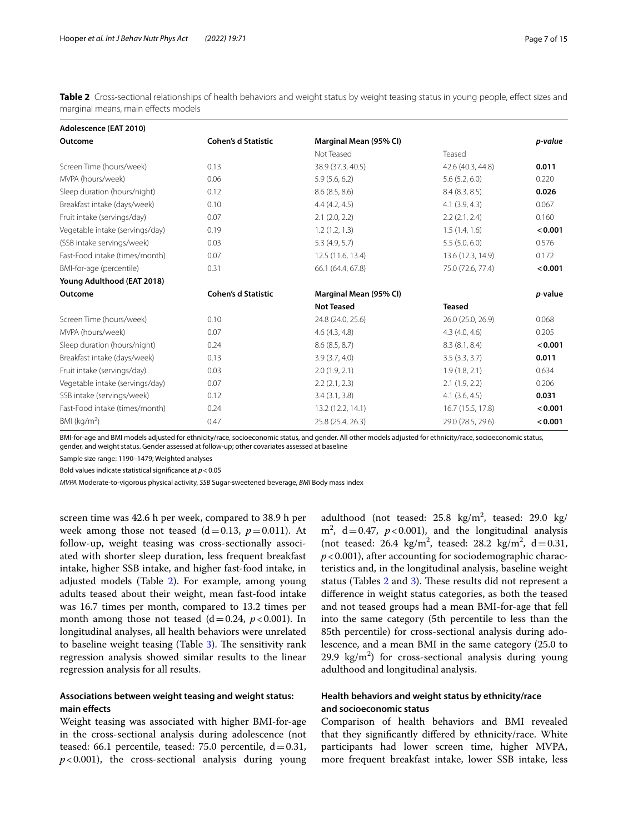<span id="page-6-0"></span>**Table 2** Cross-sectional relationships of health behaviors and weight status by weight teasing status in young people, effect sizes and marginal means, main efects models

| Adolescence (EAT 2010)          |                            |                        |                    |                 |
|---------------------------------|----------------------------|------------------------|--------------------|-----------------|
| Outcome                         | <b>Cohen's d Statistic</b> | Marginal Mean (95% CI) |                    | p-value         |
|                                 |                            | Not Teased             | Teased             |                 |
| Screen Time (hours/week)        | 0.13                       | 38.9 (37.3, 40.5)      | 42.6 (40.3, 44.8)  | 0.011           |
| MVPA (hours/week)               | 0.06                       | 5.9(5.6, 6.2)          | 5.6(5.2, 6.0)      | 0.220           |
| Sleep duration (hours/night)    | 0.12                       | 8.6(8.5, 8.6)          | 8.4(8.3, 8.5)      | 0.026           |
| Breakfast intake (days/week)    | 0.10                       | 4.4(4.2, 4.5)          | 4.1(3.9, 4.3)      | 0.067           |
| Fruit intake (servings/day)     | 0.07                       | $2.1$ $(2.0, 2.2)$     | 2.2(2.1, 2.4)      | 0.160           |
| Vegetable intake (servings/day) | 0.19                       | 1.2(1.2, 1.3)          | 1.5(1.4, 1.6)      | < 0.001         |
| (SSB intake servings/week)      | 0.03                       | 5.3(4.9, 5.7)          | 5.5(5.0, 6.0)      | 0.576           |
| Fast-Food intake (times/month)  | 0.07                       | 12.5 (11.6, 13.4)      | 13.6 (12.3, 14.9)  | 0.172           |
| BMI-for-age (percentile)        | 0.31                       | 66.1 (64.4, 67.8)      | 75.0 (72.6, 77.4)  | < 0.001         |
| Young Adulthood (EAT 2018)      |                            |                        |                    |                 |
| Outcome                         | <b>Cohen's d Statistic</b> | Marginal Mean (95% CI) |                    | <i>p</i> -value |
|                                 |                            | <b>Not Teased</b>      | <b>Teased</b>      |                 |
| Screen Time (hours/week)        | 0.10                       | 24.8 (24.0, 25.6)      | 26.0 (25.0, 26.9)  | 0.068           |
| MVPA (hours/week)               | 0.07                       | 4.6(4.3, 4.8)          | 4.3(4.0, 4.6)      | 0.205           |
| Sleep duration (hours/night)    | 0.24                       | 8.6(8.5, 8.7)          | 8.3(8.1, 8.4)      | < 0.001         |
| Breakfast intake (days/week)    | 0.13                       | 3.9(3.7, 4.0)          | 3.5(3.3, 3.7)      | 0.011           |
| Fruit intake (servings/day)     | 0.03                       | 2.0(1.9, 2.1)          | 1.9(1.8, 2.1)      | 0.634           |
| Vegetable intake (servings/day) | 0.07                       | 2.2(2.1, 2.3)          | 2.1(1.9, 2.2)      | 0.206           |
| SSB intake (servings/week)      | 0.12                       | 3.4(3.1, 3.8)          | $4.1$ $(3.6, 4.5)$ | 0.031           |
| Fast-Food intake (times/month)  | 0.24                       | 13.2 (12.2, 14.1)      | 16.7 (15.5, 17.8)  | < 0.001         |
| BMI ( $kg/m2$ )                 | 0.47                       | 25.8 (25.4, 26.3)      | 29.0 (28.5, 29.6)  | < 0.001         |

BMI-for-age and BMI models adjusted for ethnicity/race, socioeconomic status, and gender. All other models adjusted for ethnicity/race, socioeconomic status, gender, and weight status. Gender assessed at follow-up; other covariates assessed at baseline

Sample size range: 1190–1479; Weighted analyses

Bold values indicate statistical signifcance at *p*<0.05

*MVPA* Moderate-to-vigorous physical activity, *SSB* Sugar-sweetened beverage, *BMI* Body mass index

screen time was 42.6 h per week, compared to 38.9 h per week among those not teased  $(d=0.13, p=0.011)$ . At follow-up, weight teasing was cross-sectionally associated with shorter sleep duration, less frequent breakfast intake, higher SSB intake, and higher fast-food intake, in adjusted models (Table [2](#page-6-0)). For example, among young adults teased about their weight, mean fast-food intake was 16.7 times per month, compared to 13.2 times per month among those not teased  $(d=0.24, p<0.001)$ . In longitudinal analyses, all health behaviors were unrelated to baseline weight teasing (Table  $3$ ). The sensitivity rank regression analysis showed similar results to the linear regression analysis for all results.

# **Associations between weight teasing and weight status: main efects**

Weight teasing was associated with higher BMI-for-age in the cross-sectional analysis during adolescence (not teased: 66.1 percentile, teased: 75.0 percentile,  $d=0.31$ ,  $p$ <0.001), the cross-sectional analysis during young

adulthood (not teased:  $25.8 \text{ kg/m}^2$ , teased:  $29.0 \text{ kg/m}^2$ m<sup>2</sup>, d=0.47,  $p < 0.001$ ), and the longitudinal analysis (not teased:  $26.4 \text{ kg/m}^2$ , teased:  $28.2 \text{ kg/m}^2$ ,  $d = 0.31$ ,  $p$  < 0.001), after accounting for sociodemographic characteristics and, in the longitudinal analysis, baseline weight status (Tables [2](#page-6-0) and [3\)](#page-7-0). These results did not represent a diference in weight status categories, as both the teased and not teased groups had a mean BMI-for-age that fell into the same category (5th percentile to less than the 85th percentile) for cross-sectional analysis during adolescence, and a mean BMI in the same category (25.0 to 29.9  $\text{kg/m}^2$ ) for cross-sectional analysis during young adulthood and longitudinal analysis.

# **Health behaviors and weight status by ethnicity/race and socioeconomic status**

Comparison of health behaviors and BMI revealed that they signifcantly difered by ethnicity/race. White participants had lower screen time, higher MVPA, more frequent breakfast intake, lower SSB intake, less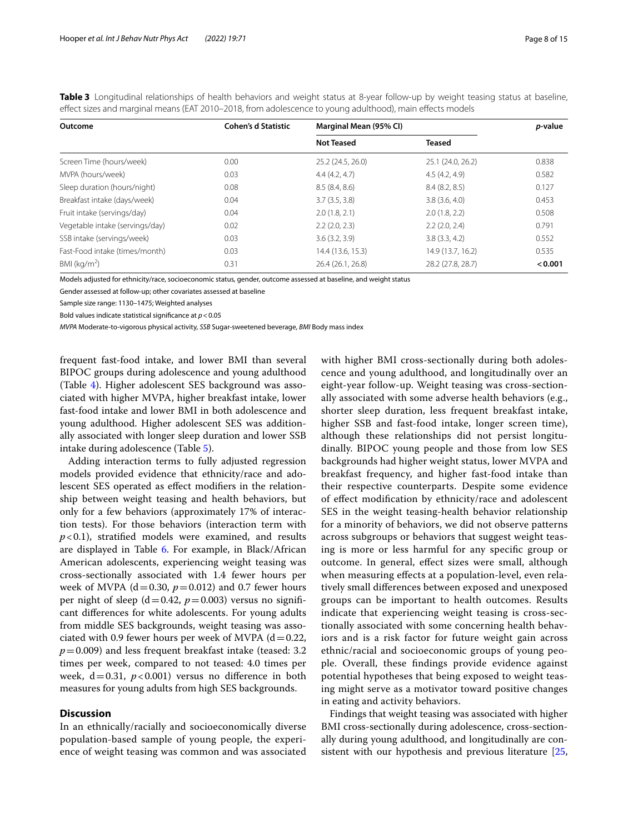| Outcome                         | <b>Cohen's d Statistic</b> | Marginal Mean (95% CI) | p-value           |         |
|---------------------------------|----------------------------|------------------------|-------------------|---------|
|                                 |                            | <b>Not Teased</b>      | <b>Teased</b>     |         |
| Screen Time (hours/week)        | 0.00                       | 25.2 (24.5, 26.0)      | 25.1 (24.0, 26.2) | 0.838   |
| MVPA (hours/week)               | 0.03                       | 4.4(4.2, 4.7)          | 4.5(4.2, 4.9)     | 0.582   |
| Sleep duration (hours/night)    | 0.08                       | 8.5(8.4, 8.6)          | 8.4(8.2, 8.5)     | 0.127   |
| Breakfast intake (days/week)    | 0.04                       | 3.7(3.5, 3.8)          | 3.8(3.6, 4.0)     | 0.453   |
| Fruit intake (servings/day)     | 0.04                       | 2.0(1.8, 2.1)          | 2.0(1.8, 2.2)     | 0.508   |
| Vegetable intake (servings/day) | 0.02                       | 2.2(2.0, 2.3)          | $2.2$ (2.0, 2.4)  | 0.791   |
| SSB intake (servings/week)      | 0.03                       | 3.6(3.2, 3.9)          | 3.8(3.3, 4.2)     | 0.552   |
| Fast-Food intake (times/month)  | 0.03                       | 14.4 (13.6, 15.3)      | 14.9 (13.7, 16.2) | 0.535   |
| BMI ( $kg/m2$ )                 | 0.31                       | 26.4 (26.1, 26.8)      | 28.2 (27.8, 28.7) | < 0.001 |

<span id="page-7-0"></span>**Table 3** Longitudinal relationships of health behaviors and weight status at 8-year follow-up by weight teasing status at baseline, efect sizes and marginal means (EAT 2010–2018, from adolescence to young adulthood), main efects models

Models adjusted for ethnicity/race, socioeconomic status, gender, outcome assessed at baseline, and weight status

Gender assessed at follow-up; other covariates assessed at baseline

Sample size range: 1130–1475; Weighted analyses

Bold values indicate statistical signifcance at *p*<0.05

*MVPA* Moderate-to-vigorous physical activity, *SSB* Sugar-sweetened beverage, *BMI* Body mass index

frequent fast-food intake, and lower BMI than several BIPOC groups during adolescence and young adulthood (Table [4\)](#page-8-0). Higher adolescent SES background was associated with higher MVPA, higher breakfast intake, lower fast-food intake and lower BMI in both adolescence and young adulthood. Higher adolescent SES was additionally associated with longer sleep duration and lower SSB intake during adolescence (Table [5\)](#page-9-0).

Adding interaction terms to fully adjusted regression models provided evidence that ethnicity/race and adolescent SES operated as efect modifers in the relationship between weight teasing and health behaviors, but only for a few behaviors (approximately 17% of interaction tests). For those behaviors (interaction term with  $p$ <0.1), stratified models were examined, and results are displayed in Table [6](#page-10-0). For example, in Black/African American adolescents, experiencing weight teasing was cross-sectionally associated with 1.4 fewer hours per week of MVPA ( $d=0.30$ ,  $p=0.012$ ) and 0.7 fewer hours per night of sleep ( $d=0.42$ ,  $p=0.003$ ) versus no significant diferences for white adolescents. For young adults from middle SES backgrounds, weight teasing was associated with 0.9 fewer hours per week of MVPA  $(d=0.22,$  $p=0.009$ ) and less frequent breakfast intake (teased: 3.2) times per week, compared to not teased: 4.0 times per week,  $d=0.31$ ,  $p<0.001$ ) versus no difference in both measures for young adults from high SES backgrounds.

# **Discussion**

In an ethnically/racially and socioeconomically diverse population-based sample of young people, the experience of weight teasing was common and was associated with higher BMI cross-sectionally during both adolescence and young adulthood, and longitudinally over an eight-year follow-up. Weight teasing was cross-sectionally associated with some adverse health behaviors (e.g., shorter sleep duration, less frequent breakfast intake, higher SSB and fast-food intake, longer screen time), although these relationships did not persist longitudinally. BIPOC young people and those from low SES backgrounds had higher weight status, lower MVPA and breakfast frequency, and higher fast-food intake than their respective counterparts. Despite some evidence of efect modifcation by ethnicity/race and adolescent SES in the weight teasing-health behavior relationship for a minority of behaviors, we did not observe patterns across subgroups or behaviors that suggest weight teasing is more or less harmful for any specifc group or outcome. In general, efect sizes were small, although when measuring efects at a population-level, even relatively small diferences between exposed and unexposed groups can be important to health outcomes. Results indicate that experiencing weight teasing is cross-sectionally associated with some concerning health behaviors and is a risk factor for future weight gain across ethnic/racial and socioeconomic groups of young people. Overall, these fndings provide evidence against potential hypotheses that being exposed to weight teasing might serve as a motivator toward positive changes in eating and activity behaviors.

Findings that weight teasing was associated with higher BMI cross-sectionally during adolescence, cross-sectionally during young adulthood, and longitudinally are con-sistent with our hypothesis and previous literature [[25](#page-12-24),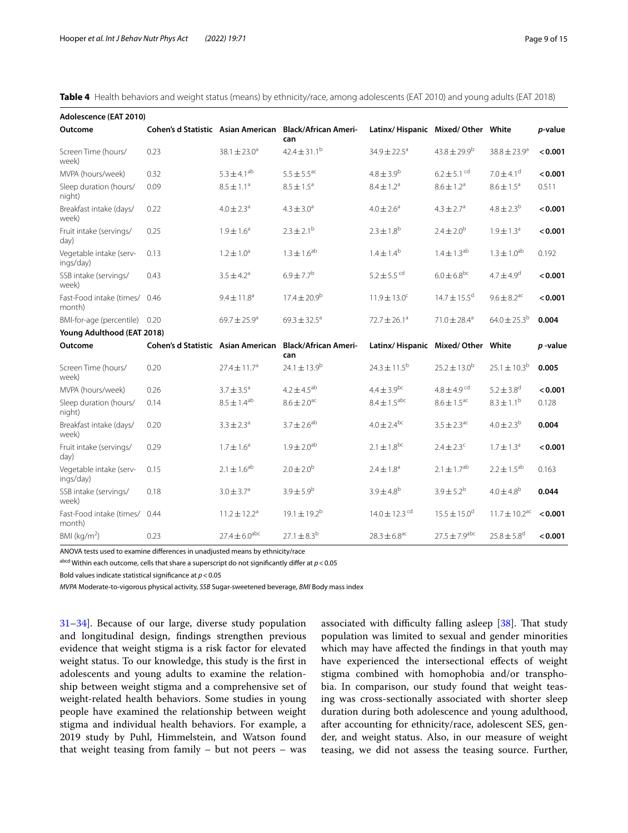<span id="page-8-0"></span>**Table 4** Health behaviors and weight status (means) by ethnicity/race, among adolescents (EAT 2010) and young adults (EAT 2018)

| Adolescence (EAT 2010)               |                                    |                              |                                    |                                   |                              |                               |                 |
|--------------------------------------|------------------------------------|------------------------------|------------------------------------|-----------------------------------|------------------------------|-------------------------------|-----------------|
| Outcome                              | Cohen's d Statistic Asian American |                              | <b>Black/African Ameri-</b><br>can | Latinx/Hispanic Mixed/Other White |                              |                               | <i>p</i> -value |
| Screen Time (hours/<br>week)         | 0.23                               | $38.1 \pm 23.0^a$            | $42.4 \pm 31.1^b$                  | $34.9 \pm 22.5^a$                 | $43.8 \pm 29.9^{\circ}$      | $38.8 \pm 23.9^{\circ}$       | < 0.001         |
| MVPA (hours/week)                    | 0.32                               | $5.3 \pm 4.1^{ab}$           | $5.5 \pm 5.5^{\text{ac}}$          | $4.8 \pm 3.9^{b}$                 | $6.2 \pm 5.1$ <sup>cd</sup>  | $7.0 \pm 4.1$ <sup>d</sup>    | < 0.001         |
| Sleep duration (hours/<br>night)     | 0.09                               | $8.5 \pm 1.1^a$              | $8.5 \pm 1.5^a$                    | $8.4 \pm 1.2^a$                   | $8.6 \pm 1.2^a$              | $8.6 \pm 1.5^a$               | 0.511           |
| Breakfast intake (days/<br>week)     | 0.22                               | $4.0 \pm 2.3$ <sup>a</sup>   | $4.3 \pm 3.0^a$                    | $4.0 \pm 2.6^a$                   | $4.3 \pm 2.7$ <sup>a</sup>   | $4.8 \pm 2.3^{b}$             | < 0.001         |
| Fruit intake (servings/<br>day)      | 0.25                               | $1.9 \pm 1.6^a$              | $2.3 \pm 2.1^{b}$                  | $2.3 \pm 1.8^{b}$                 | $2.4 \pm 2.0^{b}$            | $1.9 \pm 1.3^a$               | < 0.001         |
| Vegetable intake (serv-<br>ings/day) | 0.13                               | $1.2 \pm 1.0^a$              | $1.3 \pm 1.6^{ab}$                 | $1.4 \pm 1.4^{b}$                 | $1.4 \pm 1.3^{ab}$           | $1.3 \pm 1.0^{ab}$            | 0.192           |
| SSB intake (servings/<br>week)       | 0.43                               | $3.5 \pm 4.2^{\circ}$        | $6.9 \pm 7.7^{b}$                  | $5.2 \pm 5.5$ <sup>cd</sup>       | $6.0 \pm 6.8^{bc}$           | $4.7 \pm 4.9$ <sup>d</sup>    | < 0.001         |
| Fast-Food intake (times/<br>month)   | 0.46                               | $9.4 \pm 11.8^a$             | $17.4 \pm 20.9^b$                  | $11.9 \pm 13.0^c$                 | $14.7 \pm 15.5$ <sup>d</sup> | $9.6 \pm 8.2$ <sup>ac</sup>   | < 0.001         |
| BMI-for-age (percentile) 0.20        |                                    | $69.7 \pm 25.9^a$            | $69.3 \pm 32.5^{\circ}$            | $72.7 \pm 26.1^a$                 | $71.0 \pm 28.4$ <sup>a</sup> | $64.0 \pm 25.3^b$             | 0.004           |
| Young Adulthood (EAT 2018)           |                                    |                              |                                    |                                   |                              |                               |                 |
| Outcome                              | Cohen's d Statistic Asian American |                              | <b>Black/African Ameri-</b><br>can | Latinx/Hispanic Mixed/Other White |                              |                               | $p$ -value      |
| Screen Time (hours/<br>week)         | 0.20                               | $27.4 \pm 11.7$ <sup>a</sup> | $24.1 \pm 13.9^b$                  | $24.3 \pm 11.5^b$                 | $25.2 \pm 13.0^b$            | $25.1 \pm 10.3^b$             | 0.005           |
| MVPA (hours/week)                    | 0.26                               | $3.7 \pm 3.5^a$              | $4.2 \pm 4.5^{ab}$                 | $4.4 \pm 3.9^{bc}$                | $4.8 \pm 4.9$ <sup>cd</sup>  | $5.2 \pm 3.8$ <sup>d</sup>    | < 0.001         |
| Sleep duration (hours/<br>night)     | 0.14                               | $8.5 \pm 1.4^{ab}$           | $8.6 \pm 2.0$ <sup>ac</sup>        | $8.4 \pm 1.5$ <sup>abc</sup>      | $8.6 \pm 1.5$ <sup>ac</sup>  | $8.3 \pm 1.1^{\rm b}$         | 0.128           |
| Breakfast intake (days/<br>week)     | 0.20                               | $3.3 \pm 2.3^{\circ}$        | $3.7 \pm 2.6^{ab}$                 | $4.0 \pm 2.4^{bc}$                | $3.5 \pm 2.3$ <sup>ac</sup>  | $4.0 \pm 2.3^{b}$             | 0.004           |
| Fruit intake (servings/<br>day)      | 0.29                               | $1.7 \pm 1.6^a$              | $1.9 \pm 2.0^{ab}$                 | $2.1 \pm 1.8^{bc}$                | $2.4 \pm 2.3$ <sup>c</sup>   | $1.7 \pm 1.3^a$               | < 0.001         |
| Vegetable intake (serv-<br>ings/day) | 0.15                               | $2.1 \pm 1.6^{ab}$           | $2.0 \pm 2.0^{b}$                  | $2.4 \pm 1.8$ <sup>a</sup>        | $2.1 \pm 1.7^{ab}$           | $2.2 \pm 1.5^{ab}$            | 0.163           |
| SSB intake (servings/<br>week)       | 0.18                               | $3.0 \pm 3.7^a$              | $3.9 \pm 5.9^{b}$                  | $3.9 \pm 4.8^{b}$                 | $3.9 \pm 5.2^{b}$            | $4.0 \pm 4.8^{b}$             | 0.044           |
| Fast-Food intake (times/<br>month)   | 0.44                               | $11.2 \pm 12.2$ <sup>a</sup> | $19.1 \pm 19.2^b$                  | $14.0 \pm 12.3$ <sup>cd</sup>     | $15.5 \pm 15.0$ <sup>d</sup> | $11.7 \pm 10.2$ <sup>ac</sup> | < 0.001         |
| BMI ( $kg/m2$ )                      | 0.23                               | $27.4 \pm 6.0^{abc}$         | $27.1 \pm 8.3^{b}$                 | $28.3 \pm 6.8$ <sup>ac</sup>      | $27.5 \pm 7.9^{abc}$         | $25.8 \pm 5.8$ <sup>d</sup>   | < 0.001         |

ANOVA tests used to examine diferences in unadjusted means by ethnicity/race

abcd Within each outcome, cells that share a superscript do not signifcantly difer at *p*<0.05

Bold values indicate statistical signifcance at *p*<0.05

*MVPA* Moderate-to-vigorous physical activity, *SSB* Sugar-sweetened beverage, *BMI* Body mass index

[31–](#page-12-25)[34](#page-12-26)]. Because of our large, diverse study population and longitudinal design, fndings strengthen previous evidence that weight stigma is a risk factor for elevated weight status. To our knowledge, this study is the frst in adolescents and young adults to examine the relationship between weight stigma and a comprehensive set of weight-related health behaviors. Some studies in young people have examined the relationship between weight stigma and individual health behaviors. For example, a 2019 study by Puhl, Himmelstein, and Watson found that weight teasing from family  $-$  but not peers  $-$  was associated with difficulty falling asleep  $[38]$  $[38]$ . That study population was limited to sexual and gender minorities which may have afected the fndings in that youth may have experienced the intersectional effects of weight stigma combined with homophobia and/or transphobia. In comparison, our study found that weight teasing was cross-sectionally associated with shorter sleep duration during both adolescence and young adulthood, after accounting for ethnicity/race, adolescent SES, gender, and weight status. Also, in our measure of weight teasing, we did not assess the teasing source. Further,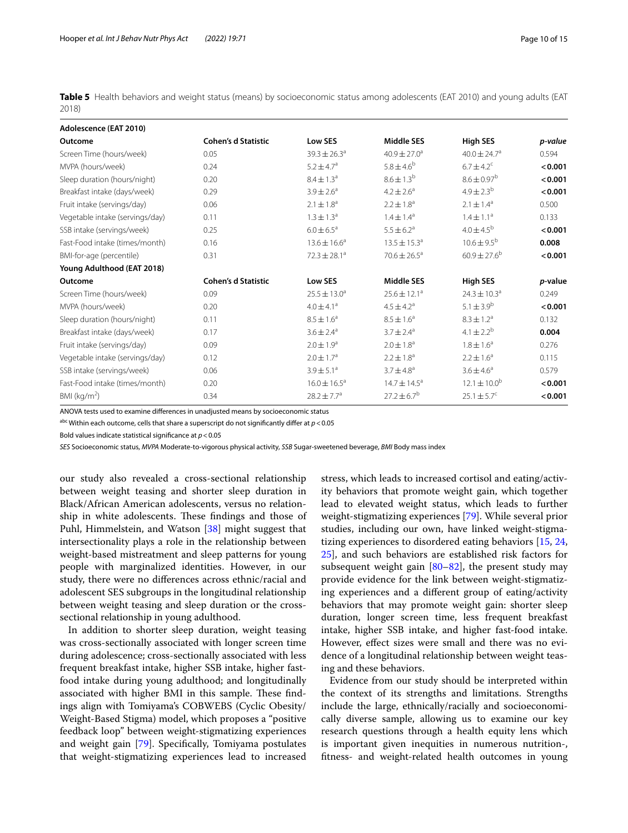<span id="page-9-0"></span>**Table 5** Health behaviors and weight status (means) by socioeconomic status among adolescents (EAT 2010) and young adults (EAT 2018)

| Adolescence (EAT 2010)          |                            |                         |                            |                              |         |
|---------------------------------|----------------------------|-------------------------|----------------------------|------------------------------|---------|
| Outcome                         | <b>Cohen's d Statistic</b> | Low SES                 | <b>Middle SES</b>          | <b>High SES</b>              | p-value |
| Screen Time (hours/week)        | 0.05                       | $39.3 \pm 26.3^{\circ}$ | $40.9 \pm 27.0^a$          | $40.0 \pm 24.7$ <sup>a</sup> | 0.594   |
| MVPA (hours/week)               | 0.24                       | $5.2 \pm 4.7^a$         | $5.8 \pm 4.6^{b}$          | $6.7 \pm 4.2$ <sup>c</sup>   | < 0.001 |
| Sleep duration (hours/night)    | 0.20                       | $8.4 \pm 1.3^a$         | $8.6 \pm 1.3^{b}$          | $8.6 \pm 0.97^{\rm b}$       | < 0.001 |
| Breakfast intake (days/week)    | 0.29                       | $3.9 \pm 2.6^a$         | $4.2 \pm 2.6^a$            | $4.9 \pm 2.3^{b}$            | < 0.001 |
| Fruit intake (servings/day)     | 0.06                       | $2.1 \pm 1.8^a$         | $2.2 \pm 1.8^a$            | $2.1 \pm 1.4^{\circ}$        | 0.500   |
| Vegetable intake (servings/day) | 0.11                       | $1.3 \pm 1.3^{\circ}$   | $1.4 \pm 1.4^a$            | $1.4 \pm 1.1^a$              | 0.133   |
| SSB intake (servings/week)      | 0.25                       | $6.0 \pm 6.5^a$         | $5.5 \pm 6.2$ <sup>a</sup> | $4.0 \pm 4.5^{b}$            | < 0.001 |
| Fast-Food intake (times/month)  | 0.16                       | $13.6 \pm 16.6^a$       | $13.5 \pm 15.3^a$          | $10.6 \pm 9.5^{b}$           | 0.008   |
| BMI-for-age (percentile)        | 0.31                       | $72.3 \pm 28.1^a$       | $70.6 \pm 26.5^a$          | $60.9 \pm 27.6^b$            | < 0.001 |
| Young Adulthood (EAT 2018)      |                            |                         |                            |                              |         |
| Outcome                         | <b>Cohen's d Statistic</b> | Low SES                 | <b>Middle SES</b>          | <b>High SES</b>              | p-value |
| Screen Time (hours/week)        | 0.09                       | $25.5 \pm 13.0^a$       | $25.6 \pm 12.1^a$          | $24.3 \pm 10.3^a$            | 0.249   |
| MVPA (hours/week)               | 0.20                       | $4.0 \pm 4.1^a$         | $4.5 \pm 4.2^a$            | $5.1 \pm 3.9^b$              | < 0.001 |
| Sleep duration (hours/night)    | 0.11                       | $8.5 \pm 1.6^a$         | $8.5 \pm 1.6^a$            | $8.3 \pm 1.2^a$              | 0.132   |
| Breakfast intake (days/week)    | 0.17                       | $3.6 \pm 2.4^a$         | $3.7 \pm 2.4^{\circ}$      | $4.1 \pm 2.2^{b}$            | 0.004   |
| Fruit intake (servings/day)     | 0.09                       | $2.0 \pm 1.9^a$         | $2.0 \pm 1.8^a$            | $1.8 \pm 1.6^a$              | 0.276   |
| Vegetable intake (servings/day) | 0.12                       | $2.0 \pm 1.7^a$         | $2.2 \pm 1.8^a$            | $2.2 \pm 1.6^a$              | 0.115   |
| SSB intake (servings/week)      | 0.06                       | $3.9 \pm 5.1^a$         | $3.7 \pm 4.8^{\circ}$      | $3.6 \pm 4.6^a$              | 0.579   |
| Fast-Food intake (times/month)  | 0.20                       | $16.0 \pm 16.5^a$       | $14.7 \pm 14.5^a$          | $12.1 \pm 10.0^b$            | < 0.001 |
| BMI ( $kg/m2$ )                 | 0.34                       | $28.2 \pm 7.7^a$        | $27.2 \pm 6.7^b$           | $25.1 \pm 5.7^c$             | < 0.001 |

ANOVA tests used to examine diferences in unadjusted means by socioeconomic status

abc Within each outcome, cells that share a superscript do not signifcantly difer at *p*<0.05

Bold values indicate statistical signifcance at *p*<0.05

*SES* Socioeconomic status, *MVPA* Moderate-to-vigorous physical activity, *SSB* Sugar-sweetened beverage, *BMI* Body mass index

our study also revealed a cross-sectional relationship between weight teasing and shorter sleep duration in Black/African American adolescents, versus no relationship in white adolescents. These findings and those of Puhl, Himmelstein, and Watson [[38\]](#page-12-31) might suggest that intersectionality plays a role in the relationship between weight-based mistreatment and sleep patterns for young people with marginalized identities. However, in our study, there were no diferences across ethnic/racial and adolescent SES subgroups in the longitudinal relationship between weight teasing and sleep duration or the crosssectional relationship in young adulthood.

In addition to shorter sleep duration, weight teasing was cross-sectionally associated with longer screen time during adolescence; cross-sectionally associated with less frequent breakfast intake, higher SSB intake, higher fastfood intake during young adulthood; and longitudinally associated with higher BMI in this sample. These findings align with Tomiyama's COBWEBS (Cyclic Obesity/ Weight-Based Stigma) model, which proposes a "positive feedback loop" between weight-stigmatizing experiences and weight gain [\[79](#page-13-32)]. Specifcally, Tomiyama postulates that weight-stigmatizing experiences lead to increased stress, which leads to increased cortisol and eating/activity behaviors that promote weight gain, which together lead to elevated weight status, which leads to further weight-stigmatizing experiences [[79\]](#page-13-32). While several prior studies, including our own, have linked weight-stigmatizing experiences to disordered eating behaviors [[15,](#page-12-11) [24](#page-12-38), [25\]](#page-12-24), and such behaviors are established risk factors for subsequent weight gain  $[80-82]$  $[80-82]$ , the present study may provide evidence for the link between weight-stigmatizing experiences and a diferent group of eating/activity behaviors that may promote weight gain: shorter sleep duration, longer screen time, less frequent breakfast intake, higher SSB intake, and higher fast-food intake. However, efect sizes were small and there was no evidence of a longitudinal relationship between weight teasing and these behaviors.

Evidence from our study should be interpreted within the context of its strengths and limitations. Strengths include the large, ethnically/racially and socioeconomically diverse sample, allowing us to examine our key research questions through a health equity lens which is important given inequities in numerous nutrition-, ftness- and weight-related health outcomes in young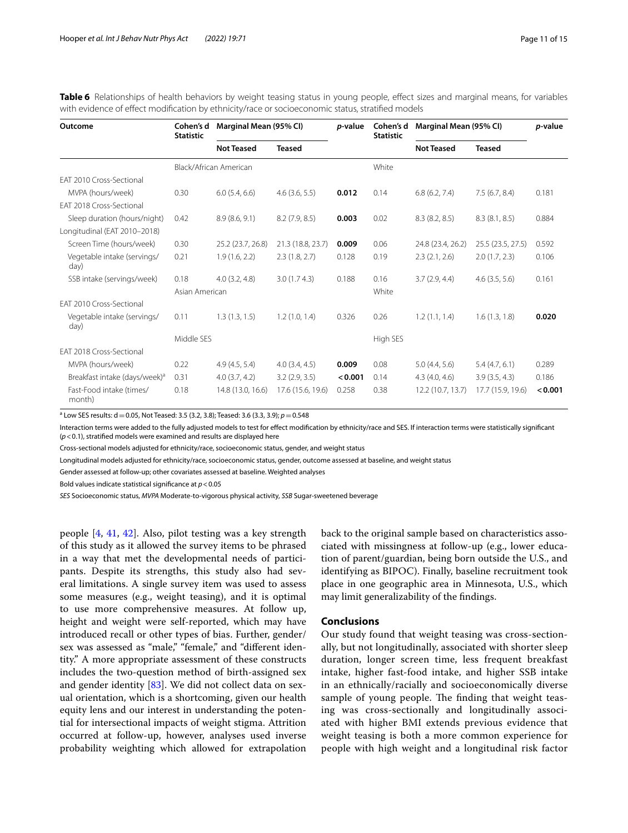| Outcome                                   | Cohen's d<br><b>Statistic</b> | Marginal Mean (95% CI) |                   | <i>p</i> -value | Cohen's d<br><b>Statistic</b> | Marginal Mean (95% CI) |                    | p-value |
|-------------------------------------------|-------------------------------|------------------------|-------------------|-----------------|-------------------------------|------------------------|--------------------|---------|
|                                           |                               | <b>Not Teased</b>      | <b>Teased</b>     |                 |                               | <b>Not Teased</b>      | <b>Teased</b>      |         |
|                                           |                               | Black/African American |                   |                 | White                         |                        |                    |         |
| FAT 2010 Cross-Sectional                  |                               |                        |                   |                 |                               |                        |                    |         |
| MVPA (hours/week)                         | 0.30                          | 6.0(5.4, 6.6)          | $4.6$ (3.6, 5.5)  | 0.012           | 0.14                          | 6.8(6.2, 7.4)          | 7.5(6.7, 8.4)      | 0.181   |
| EAT 2018 Cross-Sectional                  |                               |                        |                   |                 |                               |                        |                    |         |
| Sleep duration (hours/night)              | 0.42                          | 8.9(8.6, 9.1)          | 8.2(7.9, 8.5)     | 0.003           | 0.02                          | 8.3(8.2, 8.5)          | 8.3(8.1, 8.5)      | 0.884   |
| Longitudinal (EAT 2010-2018)              |                               |                        |                   |                 |                               |                        |                    |         |
| Screen Time (hours/week)                  | 0.30                          | 25.2 (23.7, 26.8)      | 21.3 (18.8, 23.7) | 0.009           | 0.06                          | 24.8 (23.4, 26.2)      | 25.5 (23.5, 27.5)  | 0.592   |
| Vegetable intake (servings/<br>day)       | 0.21                          | 1.9(1.6, 2.2)          | 2.3(1.8, 2.7)     | 0.128           | 0.19                          | 2.3(2.1, 2.6)          | 2.0(1.7, 2.3)      | 0.106   |
| SSB intake (servings/week)                | 0.18                          | $4.0$ $(3.2, 4.8)$     | 3.0(1.74.3)       | 0.188           | 0.16                          | 3.7(2.9, 4.4)          | $4.6$ $(3.5, 5.6)$ | 0.161   |
|                                           | Asian American                |                        |                   |                 | White                         |                        |                    |         |
| FAT 2010 Cross-Sectional                  |                               |                        |                   |                 |                               |                        |                    |         |
| Vegetable intake (servings/<br>day)       | 0.11                          | 1.3(1.3, 1.5)          | 1.2(1.0, 1.4)     | 0.326           | 0.26                          | 1.2(1.1, 1.4)          | 1.6(1.3, 1.8)      | 0.020   |
|                                           | Middle SES                    |                        |                   |                 | High SES                      |                        |                    |         |
| FAT 2018 Cross-Sectional                  |                               |                        |                   |                 |                               |                        |                    |         |
| MVPA (hours/week)                         | 0.22                          | 4.9(4.5, 5.4)          | 4.0(3.4, 4.5)     | 0.009           | 0.08                          | 5.0(4.4, 5.6)          | 5.4(4.7, 6.1)      | 0.289   |
| Breakfast intake (days/week) <sup>a</sup> | 0.31                          | 4.0(3.7, 4.2)          | 3.2(2.9, 3.5)     | < 0.001         | 0.14                          | 4.3(4.0, 4.6)          | 3.9(3.5, 4.3)      | 0.186   |
| Fast-Food intake (times/<br>month)        | 0.18                          | 14.8 (13.0, 16.6)      | 17.6 (15.6, 19.6) | 0.258           | 0.38                          | 12.2 (10.7, 13.7)      | 17.7 (15.9, 19.6)  | < 0.001 |

<span id="page-10-0"></span>**Table 6** Relationships of health behaviors by weight teasing status in young people, effect sizes and marginal means, for variables with evidence of efect modifcation by ethnicity/race or socioeconomic status, stratifed models

a Low SES results: d=0.05, Not Teased: 3.5 (3.2, 3.8); Teased: 3.6 (3.3, 3.9); *p*=0.548

Interaction terms were added to the fully adjusted models to test for efect modifcation by ethnicity/race and SES. If interaction terms were statistically signifcant (*p*<0.1), stratifed models were examined and results are displayed here

Cross-sectional models adjusted for ethnicity/race, socioeconomic status, gender, and weight status

Longitudinal models adjusted for ethnicity/race, socioeconomic status, gender, outcome assessed at baseline, and weight status

Gender assessed at follow-up; other covariates assessed at baseline. Weighted analyses

Bold values indicate statistical signifcance at *p*<0.05

*SES* Socioeconomic status, *MVPA* Moderate-to-vigorous physical activity, *SSB* Sugar-sweetened beverage

people [[4,](#page-12-1) [41](#page-12-34), [42](#page-12-35)]. Also, pilot testing was a key strength of this study as it allowed the survey items to be phrased in a way that met the developmental needs of participants. Despite its strengths, this study also had several limitations. A single survey item was used to assess some measures (e.g., weight teasing), and it is optimal to use more comprehensive measures. At follow up, height and weight were self-reported, which may have introduced recall or other types of bias. Further, gender/ sex was assessed as "male," "female," and "diferent identity." A more appropriate assessment of these constructs includes the two-question method of birth-assigned sex and gender identity [\[83\]](#page-14-1). We did not collect data on sexual orientation, which is a shortcoming, given our health equity lens and our interest in understanding the potential for intersectional impacts of weight stigma. Attrition occurred at follow-up, however, analyses used inverse probability weighting which allowed for extrapolation back to the original sample based on characteristics associated with missingness at follow-up (e.g., lower education of parent/guardian, being born outside the U.S., and identifying as BIPOC). Finally, baseline recruitment took place in one geographic area in Minnesota, U.S., which may limit generalizability of the fndings.

# **Conclusions**

Our study found that weight teasing was cross-sectionally, but not longitudinally, associated with shorter sleep duration, longer screen time, less frequent breakfast intake, higher fast-food intake, and higher SSB intake in an ethnically/racially and socioeconomically diverse sample of young people. The finding that weight teasing was cross-sectionally and longitudinally associated with higher BMI extends previous evidence that weight teasing is both a more common experience for people with high weight and a longitudinal risk factor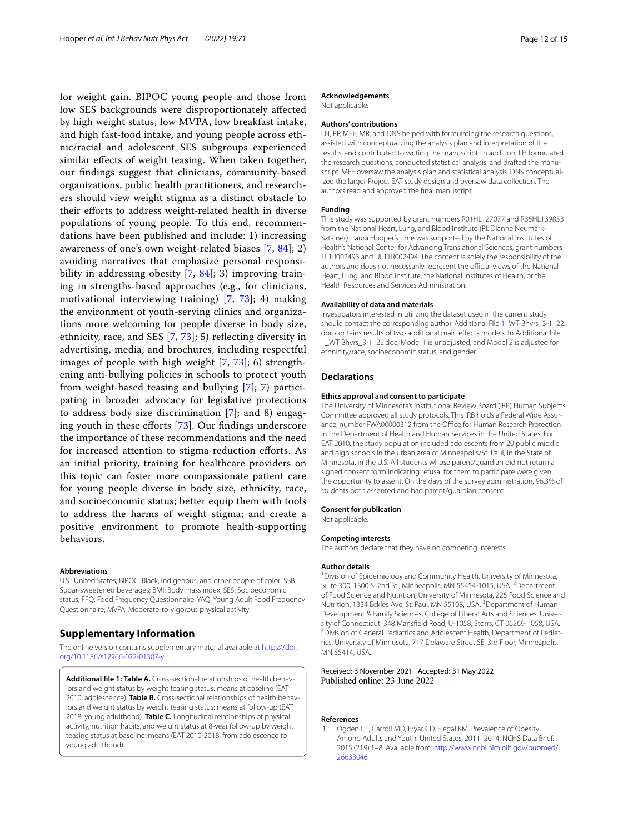for weight gain. BIPOC young people and those from low SES backgrounds were disproportionately afected by high weight status, low MVPA, low breakfast intake, and high fast-food intake, and young people across ethnic/racial and adolescent SES subgroups experienced similar efects of weight teasing. When taken together, our fndings suggest that clinicians, community-based organizations, public health practitioners, and researchers should view weight stigma as a distinct obstacle to their efforts to address weight-related health in diverse populations of young people. To this end, recommendations have been published and include: 1) increasing awareness of one's own weight-related biases [\[7](#page-12-3), [84\]](#page-14-2); 2) avoiding narratives that emphasize personal responsi-bility in addressing obesity [\[7](#page-12-3), [84](#page-14-2)]; 3) improving training in strengths-based approaches (e.g., for clinicians, motivational interviewing training) [\[7](#page-12-3), [73\]](#page-13-26); 4) making the environment of youth-serving clinics and organizations more welcoming for people diverse in body size, ethnicity, race, and SES [\[7](#page-12-3), [73\]](#page-13-26); 5) refecting diversity in advertising, media, and brochures, including respectful images of people with high weight [[7,](#page-12-3) [73](#page-13-26)]; 6) strengthening anti-bullying policies in schools to protect youth from weight-based teasing and bullying [\[7](#page-12-3)]; 7) participating in broader advocacy for legislative protections to address body size discrimination [[7\]](#page-12-3); and 8) engag-ing youth in these efforts [[73\]](#page-13-26). Our findings underscore the importance of these recommendations and the need for increased attention to stigma-reduction eforts. As an initial priority, training for healthcare providers on this topic can foster more compassionate patient care for young people diverse in body size, ethnicity, race, and socioeconomic status; better equip them with tools to address the harms of weight stigma; and create a positive environment to promote health-supporting behaviors.

#### **Abbreviations**

U.S.: United States; BIPOC: Black, Indigenous, and other people of color; SSB: Sugar-sweetened beverages; BMI: Body mass index; SES: Socioeconomic status; FFQ: Food Frequency Questionnaire; YAQ: Young Adult Food Frequency Questionnaire; MVPA: Moderate-to-vigorous physical activity.

# **Supplementary Information**

The online version contains supplementary material available at [https://doi.](https://doi.org/10.1186/s12966-022-01307-y) [org/10.1186/s12966-022-01307-y.](https://doi.org/10.1186/s12966-022-01307-y)

<span id="page-11-1"></span>**Additional fle 1: Table A.** Cross-sectional relationships of health behav‑ iors and weight status by weight teasing status: means at baseline (EAT 2010, adolescence). **Table B.** Cross-sectional relationships of health behav‑ iors and weight status by weight teasing status: means at follow-up (EAT 2018, young adulthood). **Table C.** Longitudinal relationships of physical activity, nutrition habits, and weight status at 8-year follow-up by weight teasing status at baseline: means (EAT 2010-2018, from adolescence to young adulthood).

#### **Acknowledgements**

Not applicable.

# **Authors' contributions**

LH, RP, MEE, MR, and DNS helped with formulating the research questions, assisted with conceptualizing the analysis plan and interpretation of the results, and contributed to writing the manuscript. In addition, LH formulated the research questions, conducted statistical analysis, and drafted the manuscript. MEE oversaw the analysis plan and statistical analysis. DNS conceptualized the larger Project EAT study design and oversaw data collection. The authors read and approved the fnal manuscript.

#### **Funding**

This study was supported by grant numbers R01HL127077 and R35HL139853 from the National Heart, Lung, and Blood Institute (PI: Dianne Neumark-Sztainer). Laura Hooper's time was supported by the National Institutes of Health's National Center for Advancing Translational Sciences, grant numbers TL1R002493 and UL1TR002494. The content is solely the responsibility of the authors and does not necessarily represent the official views of the National Heart, Lung, and Blood Institute, the National Institutes of Health, or the Health Resources and Services Administration.

#### **Availability of data and materials**

Investigators interested in utilizing the dataset used in the current study should contact the corresponding author. Additional File [1](#page-11-1)\_WT-Bhvrs\_3-1–22. doc contains results of two additional main efects models. In Additional File [1](#page-11-1)\_WT-Bhvrs\_3-1–22.doc, Model 1 is unadjusted, and Model 2 is adjusted for ethnicity/race, socioeconomic status, and gender.

#### **Declarations**

#### **Ethics approval and consent to participate**

The University of Minnesota's Institutional Review Board (IRB) Human Subjects Committee approved all study protocols. This IRB holds a Federal Wide Assur‑ ance, number FWA00000312 from the Office for Human Research Protection in the Department of Health and Human Services in the United States. For EAT 2010, the study population included adolescents from 20 public middle and high schools in the urban area of Minneapolis/St. Paul, in the State of Minnesota, in the U.S. All students whose parent/guardian did not return a signed consent form indicating refusal for them to participate were given the opportunity to assent. On the days of the survey administration, 96.3% of students both assented and had parent/guardian consent.

#### **Consent for publication**

Not applicable.

### **Competing interests**

The authors declare that they have no competing interests.

#### **Author details**

<sup>1</sup> Division of Epidemiology and Community Health, University of Minnesota, Suite 300, 1300 S, 2nd St., Minneapolis, MN 55454-1015, USA. <sup>2</sup> Department of Food Science and Nutrition, University of Minnesota, 225 Food Science and Nutrition, 1334 Eckles Ave, St. Paul, MN 55108, USA. <sup>3</sup> Department of Human Development & Family Sciences, College of Liberal Arts and Sciences, University of Connecticut, 348 Mansfield Road, U-1058, Storrs, CT 06269-1058, USA. <sup>4</sup>Division of General Pediatrics and Adolescent Health, Department of Pediatrics, University of Minnesota, 717 Delaware Street SE, 3rd Floor, Minneapolis, MN 55414, USA.

## Received: 3 November 2021 Accepted: 31 May 2022 Published online: 23 June 2022

#### **References**

<span id="page-11-0"></span>1. Ogden CL, Carroll MD, Fryar CD, Flegal KM. Prevalence of Obesity Among Adults and Youth: United States, 2011–2014. NCHS Data Brief. 2015;(219):1–8. Available from: [http://www.ncbi.nlm.nih.gov/pubmed/](http://www.ncbi.nlm.nih.gov/pubmed/26633046) [26633046](http://www.ncbi.nlm.nih.gov/pubmed/26633046)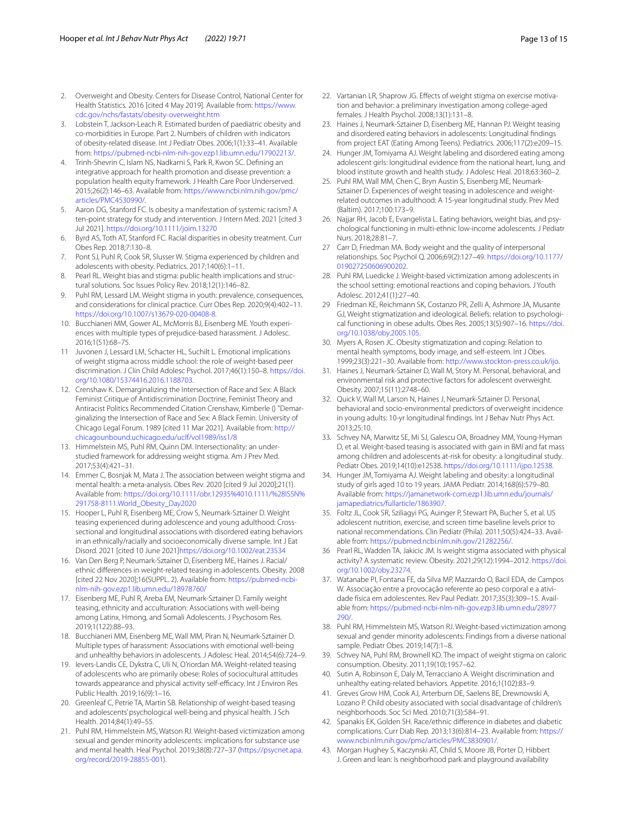- 2. Overweight and Obesity. Centers for Disease Control, National Center for Health Statistics. 2016 [cited 4 May 2019]. Available from: [https://www.](https://www.cdc.gov/nchs/fastats/obesity-overweight.htm) [cdc.gov/nchs/fastats/obesity-overweight.htm](https://www.cdc.gov/nchs/fastats/obesity-overweight.htm)
- <span id="page-12-0"></span>3. Lobstein T, Jackson-Leach R. Estimated burden of paediatric obesity and co-morbidities in Europe. Part 2. Numbers of children with indicators of obesity-related disease. Int J Pediatr Obes. 2006;1(1):33–41. Available from: <https://pubmed-ncbi-nlm-nih-gov.ezp1.lib.umn.edu/17902213/>.
- <span id="page-12-1"></span>4. Trinh-Shevrin C, Islam NS, Nadkarni S, Park R, Kwon SC. Defning an integrative approach for health promotion and disease prevention: a population health equity framework. J Health Care Poor Underserved. 2015;26(2):146–63. Available from: [https://www.ncbi.nlm.nih.gov/pmc/](https://www.ncbi.nlm.nih.gov/pmc/articles/PMC4530990/) [articles/PMC4530990/](https://www.ncbi.nlm.nih.gov/pmc/articles/PMC4530990/).
- <span id="page-12-36"></span>5. Aaron DG, Stanford FC. Is obesity a manifestation of systemic racism? A ten-point strategy for study and intervention. J Intern Med. 2021 [cited 3 Jul 2021].<https://doi.org/10.1111/joim.13270>
- <span id="page-12-2"></span>6. Byrd AS, Toth AT, Stanford FC. Racial disparities in obesity treatment. Curr Obes Rep. 2018;7:130–8.
- <span id="page-12-3"></span>7. Pont SJ, Puhl R, Cook SR, Slusser W. Stigma experienced by children and adolescents with obesity. Pediatrics. 2017;140(6):1–11.
- <span id="page-12-4"></span>8. Pearl RL. Weight bias and stigma: public health implications and structural solutions. Soc Issues Policy Rev. 2018;12(1):146–82.
- <span id="page-12-5"></span>9. Puhl RM, Lessard LM. Weight stigma in youth: prevalence, consequences, and considerations for clinical practice. Curr Obes Rep. 2020;9(4):402–11. <https://doi.org/10.1007/s13679-020-00408-8>.
- <span id="page-12-6"></span>10. Bucchianeri MM, Gower AL, McMorris BJ, Eisenberg ME. Youth experiences with multiple types of prejudice-based harassment. J Adolesc. 2016;1(51):68–75.
- <span id="page-12-7"></span>11 Juvonen J, Lessard LM, Schacter HL, Suchilt L. Emotional implications of weight stigma across middle school: the role of weight-based peer discrimination. J Clin Child Adolesc Psychol. 2017;46(1):150–8. [https://doi.](https://doi.org/10.1080/15374416.2016.1188703) [org/10.1080/15374416.2016.1188703.](https://doi.org/10.1080/15374416.2016.1188703)
- <span id="page-12-8"></span>12. Crenshaw K. Demarginalizing the Intersection of Race and Sex: A Black Feminist Critique of Antidiscrimination Doctrine, Feminist Theory and Antiracist Politics Recommended Citation Crenshaw, Kimberle () "Demar‑ ginalizing the Intersection of Race and Sex: A Black Femin. University of Chicago Legal Forum. 1989 [cited 11 Mar 2021]. Available from: [http://](http://chicagounbound.uchicago.edu/uclf/vol1989/iss1/8) [chicagounbound.uchicago.edu/uclf/vol1989/iss1/8](http://chicagounbound.uchicago.edu/uclf/vol1989/iss1/8)
- <span id="page-12-9"></span>13. Himmelstein MS, Puhl RM, Quinn DM. Intersectionality: an understudied framework for addressing weight stigma. Am J Prev Med. 2017;53(4):421–31.
- <span id="page-12-10"></span>14. Emmer C, Bosnjak M, Mata J. The association between weight stigma and mental health: a meta-analysis. Obes Rev. 2020 [cited 9 Jul 2020];21(1). Available from: [https://doi.org/10.1111/obr.12935%4010.1111/%28ISSN%](https://doi.org/10.1111/obr.12935%4010.1111/%28ISSN%291758-8111.World_Obesity_Day2020) [291758-8111.World\\_Obesity\\_Day2020](https://doi.org/10.1111/obr.12935%4010.1111/%28ISSN%291758-8111.World_Obesity_Day2020)
- <span id="page-12-11"></span>15. Hooper L, Puhl R, Eisenberg ME, Crow S, Neumark-Sztainer D. Weight teasing experienced during adolescence and young adulthood: Crosssectional and longitudinal associations with disordered eating behaviors in an ethnically/racially and socioeconomically diverse sample. Int J Eat Disord. 2021 [cited 10 June 2021[\]https://doi.org/10.1002/eat.23534](https://doi.org/10.1002/eat.23534)
- <span id="page-12-12"></span>16. Van Den Berg P, Neumark-Sztainer D, Eisenberg ME, Haines J. Racial/ ethnic diferences in weight-related teasing in adolescents. Obesity. 2008 [cited 22 Nov 2020];16(SUPPL. 2). Available from: [https://pubmed-ncbi](https://pubmed-ncbi-nlm-nih-gov.ezp1.lib.umn.edu/18978760/) [nlm-nih-gov.ezp1.lib.umn.edu/18978760/](https://pubmed-ncbi-nlm-nih-gov.ezp1.lib.umn.edu/18978760/)
- <span id="page-12-13"></span>17. Eisenberg ME, Puhl R, Areba EM, Neumark-Sztainer D. Family weight teasing, ethnicity and acculturation: Associations with well-being among Latinx, Hmong, and Somali Adolescents. J Psychosom Res. 2019;1(122):88–93.
- <span id="page-12-14"></span>18. Bucchianeri MM, Eisenberg ME, Wall MM, Piran N, Neumark-Sztainer D. Multiple types of harassment: Associations with emotional well-being and unhealthy behaviors in adolescents. J Adolesc Heal. 2014;54(6):724–9.
- <span id="page-12-29"></span>19. Ievers-Landis CE, Dykstra C, Uli N, O'riordan MA. Weight-related teasing of adolescents who are primarily obese: Roles of sociocultural attitudes towards appearance and physical activity self-efficacy. Int J Environ Res Public Health. 2019;16(9):1–16.
- <span id="page-12-15"></span>20. Greenleaf C, Petrie TA, Martin SB. Relationship of weight-based teasing and adolescents' psychological well-being and physical health. J Sch Health. 2014;84(1):49–55.
- <span id="page-12-16"></span>21. Puhl RM, Himmelstein MS, Watson RJ. Weight-based victimization among sexual and gender minority adolescents: implications for substance use and mental health. Heal Psychol. 2019;38(8):727–37 ([https://psycnet.apa.](https://psycnet.apa.org/record/2019-28855-001) [org/record/2019-28855-001\)](https://psycnet.apa.org/record/2019-28855-001).
- <span id="page-12-17"></span>22. Vartanian LR, Shaprow JG. Effects of weight stigma on exercise motivation and behavior: a preliminary investigation among college-aged females. J Health Psychol. 2008;13(1):131–8.
- <span id="page-12-18"></span>23. Haines J, Neumark-Sztainer D, Eisenberg ME, Hannan PJ. Weight teasing and disordered eating behaviors in adolescents: Longitudinal fndings from project EAT (Eating Among Teens). Pediatrics. 2006;117(2):e209–15.
- <span id="page-12-38"></span>24. Hunger JM, Tomiyama AJ. Weight labeling and disordered eating among adolescent girls: longitudinal evidence from the national heart, lung, and blood institute growth and health study. J Adolesc Heal. 2018;63:360–2.
- <span id="page-12-24"></span>25. Puhl RM, Wall MM, Chen C, Bryn Austin S, Eisenberg ME, Neumark-Sztainer D. Experiences of weight teasing in adolescence and weightrelated outcomes in adulthood: A 15-year longitudinal study. Prev Med (Baltim). 2017;100:173–9.
- <span id="page-12-19"></span>26. Najjar RH, Jacob E, Evangelista L. Eating behaviors, weight bias, and psychological functioning in multi-ethnic low-income adolescents. J Pediatr Nurs. 2018;28:81–7.
- <span id="page-12-20"></span>27 Carr D, Friedman MA. Body weight and the quality of interpersonal relationships. Soc Psychol Q. 2006;69(2):127–49. [https://doi.org/10.1177/](https://doi.org/10.1177/019027250606900202) [019027250606900202.](https://doi.org/10.1177/019027250606900202)
- <span id="page-12-21"></span>28. Puhl RM, Luedicke J. Weight-based victimization among adolescents in the school setting: emotional reactions and coping behaviors. J Youth Adolesc. 2012;41(1):27–40.
- <span id="page-12-22"></span>29 Friedman KE, Reichmann SK, Costanzo PR, Zelli A, Ashmore JA, Musante GJ, Weight stigmatization and ideological. Beliefs: relation to psychological functioning in obese adults. Obes Res. 2005;13(5):907–16. [https://doi.](https://doi.org/10.1038/oby.2005.105) [org/10.1038/oby.2005.105.](https://doi.org/10.1038/oby.2005.105)
- <span id="page-12-23"></span>30. Myers A, Rosen JC. Obesity stigmatization and coping: Relation to mental health symptoms, body image, and self-esteem. Int J Obes. 1999;23(3):221–30. Available from: [http://www.stockton-press.co.uk/ijo.](http://www.stockton-press.co.uk/ijo)
- <span id="page-12-25"></span>31. Haines J, Neumark-Sztainer D, Wall M, Story M. Personal, behavioral, and environmental risk and protective factors for adolescent overweight. Obesity. 2007;15(11):2748–60.
- 32. Quick V, Wall M, Larson N, Haines J, Neumark-Sztainer D. Personal, behavioral and socio-environmental predictors of overweight incidence in young adults: 10-yr longitudinal fndings. Int J Behav Nutr Phys Act. 2013;25:10.
- 33. Schvey NA, Marwitz SE, Mi SJ, Galescu OA, Broadney MM, Young-Hyman D, et al. Weight-based teasing is associated with gain in BMI and fat mass among children and adolescents at-risk for obesity: a longitudinal study. Pediatr Obes. 2019;14(10):e12538.<https://doi.org/10.1111/ijpo.12538>.
- <span id="page-12-26"></span>34. Hunger JM, Tomiyama AJ. Weight labeling and obesity: a longitudinal study of girls aged 10 to 19 years. JAMA Pediatr. 2014;168(6):579–80. Available from: [https://jamanetwork-com.ezp1.lib.umn.edu/journals/](https://jamanetwork-com.ezp1.lib.umn.edu/journals/jamapediatrics/fullarticle/1863907) [jamapediatrics/fullarticle/1863907.](https://jamanetwork-com.ezp1.lib.umn.edu/journals/jamapediatrics/fullarticle/1863907)
- <span id="page-12-27"></span>35. Foltz JL, Cook SR, Sziliagyi PG, Auinger P, Stewart PA, Bucher S, et al. US adolescent nutrition, exercise, and screen time baseline levels prior to national recommendations. Clin Pediatr (Phila). 2011;50(5):424–33. Avail‑ able from:<https://pubmed.ncbi.nlm.nih.gov/21282256/>.
- <span id="page-12-28"></span>36 Pearl RL, Wadden TA, Jakicic JM. Is weight stigma associated with physical activity? A systematic review. Obesity. 2021;29(12):1994–2012. [https://doi.](https://doi.org/10.1002/oby.23274) [org/10.1002/oby.23274](https://doi.org/10.1002/oby.23274).
- <span id="page-12-30"></span>37. Watanabe PI, Fontana FE, da Silva MP, Mazzardo O, Bacil EDA, de Campos W. Associação entre a provocação referente ao peso corporal e a atividade física em adolescentes. Rev Paul Pediatr. 2017;35(3):309-15. Available from: [https://pubmed-ncbi-nlm-nih-gov.ezp3.lib.umn.edu/28977](https://pubmed-ncbi-nlm-nih-gov.ezp3.lib.umn.edu/28977290/) [290/](https://pubmed-ncbi-nlm-nih-gov.ezp3.lib.umn.edu/28977290/).
- <span id="page-12-31"></span>38. Puhl RM, Himmelstein MS, Watson RJ. Weight-based victimization among sexual and gender minority adolescents: Findings from a diverse national sample. Pediatr Obes. 2019;14(7):1–8.
- <span id="page-12-32"></span>39. Schvey NA, Puhl RM, Brownell KD. The impact of weight stigma on caloric consumption. Obesity. 2011;19(10):1957–62.
- <span id="page-12-33"></span>40. Sutin A, Robinson E, Daly M, Terracciano A. Weight discrimination and unhealthy eating-related behaviors. Appetite. 2016;1(102):83–9.
- <span id="page-12-34"></span>41. Greves Grow HM, Cook AJ, Arterburn DE, Saelens BE, Drewnowski A, Lozano P. Child obesity associated with social disadvantage of children's neighborhoods. Soc Sci Med. 2010;71(3):584–91.
- <span id="page-12-35"></span>42. Spanakis EK, Golden SH. Race/ethnic diference in diabetes and diabetic complications. Curr Diab Rep. 2013;13(6):814–23. Available from: [https://](https://www.ncbi.nlm.nih.gov/pmc/articles/PMC3830901/) [www.ncbi.nlm.nih.gov/pmc/articles/PMC3830901/.](https://www.ncbi.nlm.nih.gov/pmc/articles/PMC3830901/)
- <span id="page-12-37"></span>43. Morgan Hughey S, Kaczynski AT, Child S, Moore JB, Porter D, Hibbert J. Green and lean: Is neighborhood park and playground availability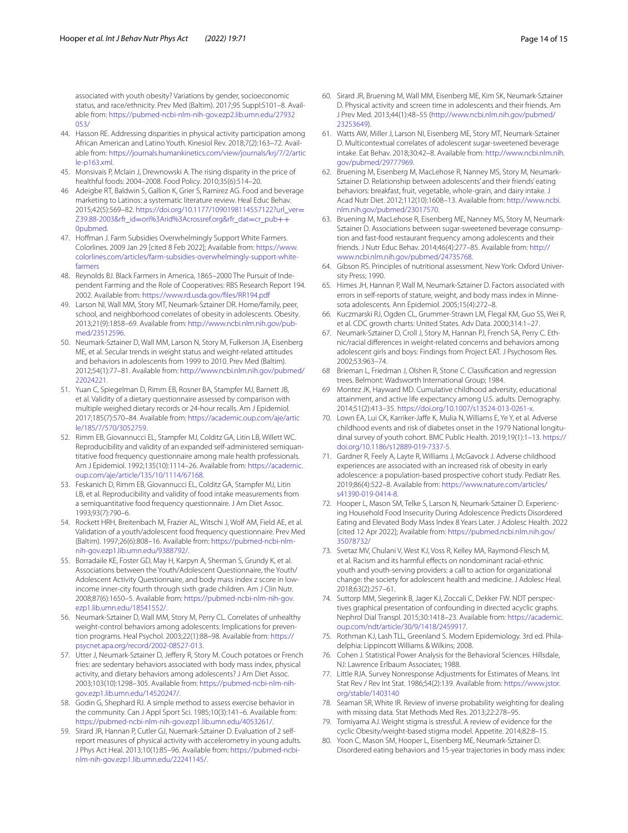associated with youth obesity? Variations by gender, socioeconomic status, and race/ethnicity. Prev Med (Baltim). 2017;95 Suppl:S101-8. Available from: [https://pubmed-ncbi-nlm-nih-gov.ezp2.lib.umn.edu/27932](https://pubmed-ncbi-nlm-nih-gov.ezp2.lib.umn.edu/27932053/) [053/](https://pubmed-ncbi-nlm-nih-gov.ezp2.lib.umn.edu/27932053/)

- <span id="page-13-0"></span>44. Hasson RE. Addressing disparities in physical activity participation among African American and Latino Youth. Kinesiol Rev. 2018;7(2):163–72. Avail‑ able from: [https://journals.humankinetics.com/view/journals/krj/7/2/artic](https://journals.humankinetics.com/view/journals/krj/7/2/article-p163.xml) [le-p163.xml.](https://journals.humankinetics.com/view/journals/krj/7/2/article-p163.xml)
- <span id="page-13-1"></span>45. Monsivais P, Mclain J, Drewnowski A. The rising disparity in the price of healthful foods: 2004–2008. Food Policy. 2010;35(6):514–20.
- <span id="page-13-2"></span>46 Adeigbe RT, Baldwin S, Gallion K, Grier S, Ramirez AG. Food and beverage marketing to Latinos: a systematic literature review. Heal Educ Behav. 2015;42(5):569–82. [https://doi.org/10.1177/1090198114557122?url\\_ver](https://doi.org/10.1177/1090198114557122?url_ver=Z39.88-2003&rfr_id=ori%3Arid%3Acrossref.org&rfr_dat=cr_pub++0pubmed)= Z39.88-2003&rfr\_id=[ori%3Arid%3Acrossref.org&rfr\\_dat](https://doi.org/10.1177/1090198114557122?url_ver=Z39.88-2003&rfr_id=ori%3Arid%3Acrossref.org&rfr_dat=cr_pub++0pubmed)=cr\_pub++ [0pubmed](https://doi.org/10.1177/1090198114557122?url_ver=Z39.88-2003&rfr_id=ori%3Arid%3Acrossref.org&rfr_dat=cr_pub++0pubmed).
- <span id="page-13-3"></span>47. Hoffman J. Farm Subsidies Overwhelmingly Support White Farmers. Colorlines. 2009 Jan 29 [cited 8 Feb 2022]; Available from: [https://www.](https://www.colorlines.com/articles/farm-subsidies-overwhelmingly-support-white-farmers) [colorlines.com/articles/farm-subsidies-overwhelmingly-support-white](https://www.colorlines.com/articles/farm-subsidies-overwhelmingly-support-white-farmers) [farmers](https://www.colorlines.com/articles/farm-subsidies-overwhelmingly-support-white-farmers)
- <span id="page-13-4"></span>48. Reynolds BJ. Black Farmers in America, 1865-2000 The Pursuit of Independent Farming and the Role of Cooperatives: RBS Research Report 194. 2002. Available from: [https://www.rd.usda.gov/fles/RR194.pdf](https://www.rd.usda.gov/files/RR194.pdf)
- <span id="page-13-5"></span>49. Larson NI, Wall MM, Story MT, Neumark-Sztainer DR. Home/family, peer, school, and neighborhood correlates of obesity in adolescents. Obesity. 2013;21(9):1858–69. Available from: http://www.ncbi.nlm.nih.gov/pub[med/23512596](http://www.ncbi.nlm.nih.gov/pubmed/23512596).
- <span id="page-13-6"></span>50. Neumark-Sztainer D, Wall MM, Larson N, Story M, Fulkerson JA, Eisenberg ME, et al. Secular trends in weight status and weight-related attitudes and behaviors in adolescents from 1999 to 2010. Prev Med (Baltim). 2012;54(1):77–81. Available from: [http://www.ncbi.nlm.nih.gov/pubmed/](http://www.ncbi.nlm.nih.gov/pubmed/22024221) [22024221.](http://www.ncbi.nlm.nih.gov/pubmed/22024221)
- <span id="page-13-7"></span>51. Yuan C, Spiegelman D, Rimm EB, Rosner BA, Stampfer MJ, Barnett JB, et al. Validity of a dietary questionnaire assessed by comparison with multiple weighed dietary records or 24-hour recalls. Am J Epidemiol. 2017;185(7):570–84. Available from: [https://academic.oup.com/aje/artic](https://academic.oup.com/aje/article/185/7/570/3052759) [le/185/7/570/3052759.](https://academic.oup.com/aje/article/185/7/570/3052759)
- 52. Rimm EB, Giovannucci EL, Stampfer MJ, Colditz GA, Litin LB, Willett WC. Reproducibility and validity of an expanded self-administered semiquantitative food frequency questionnaire among male health professionals. Am J Epidemiol. 1992;135(10):1114–26. Available from: [https://academic.](https://academic.oup.com/aje/article/135/10/1114/67168) [oup.com/aje/article/135/10/1114/67168](https://academic.oup.com/aje/article/135/10/1114/67168).
- <span id="page-13-8"></span>53. Feskanich D, Rimm EB, Giovannucci EL, Colditz GA, Stampfer MJ, Litin LB, et al. Reproducibility and validity of food intake measurements from a semiquantitative food frequency questionnaire. J Am Diet Assoc. 1993;93(7):790–6.
- <span id="page-13-9"></span>54. Rockett HRH, Breitenbach M, Frazier AL, Witschi J, Wolf AM, Field AE, et al. Validation of a youth/adolescent food frequency questionnaire. Prev Med (Baltim). 1997;26(6):808–16. Available from: [https://pubmed-ncbi-nlm](https://pubmed-ncbi-nlm-nih-gov.ezp1.lib.umn.edu/9388792/) [nih-gov.ezp1.lib.umn.edu/9388792/](https://pubmed-ncbi-nlm-nih-gov.ezp1.lib.umn.edu/9388792/).
- <span id="page-13-10"></span>55. Borradaile KE, Foster GD, May H, Karpyn A, Sherman S, Grundy K, et al. Associations between the Youth/Adolescent Questionnaire, the Youth/ Adolescent Activity Questionnaire, and body mass index z score in lowincome inner-city fourth through sixth grade children. Am J Clin Nutr. 2008;87(6):1650–5. Available from: [https://pubmed-ncbi-nlm-nih-gov.](https://pubmed-ncbi-nlm-nih-gov.ezp1.lib.umn.edu/18541552/) [ezp1.lib.umn.edu/18541552/.](https://pubmed-ncbi-nlm-nih-gov.ezp1.lib.umn.edu/18541552/)
- <span id="page-13-11"></span>56. Neumark-Sztainer D, Wall MM, Story M, Perry CL. Correlates of unhealthy weight-control behaviors among adolescents: Implications for prevention programs. Heal Psychol. 2003;22(1):88–98. Available from: [https://](https://psycnet.apa.org/record/2002-08527-013) [psycnet.apa.org/record/2002-08527-013.](https://psycnet.apa.org/record/2002-08527-013)
- <span id="page-13-12"></span>57. Utter J, Neumark-Sztainer D, Jeffery R, Story M. Couch potatoes or French fries: are sedentary behaviors associated with body mass index, physical activity, and dietary behaviors among adolescents? J Am Diet Assoc. 2003;103(10):1298–305. Available from: [https://pubmed-ncbi-nlm-nih](https://pubmed-ncbi-nlm-nih-gov.ezp1.lib.umn.edu/14520247/) [gov.ezp1.lib.umn.edu/14520247/](https://pubmed-ncbi-nlm-nih-gov.ezp1.lib.umn.edu/14520247/).
- <span id="page-13-13"></span>58. Godin G, Shephard RJ. A simple method to assess exercise behavior in the community. Can J Appl Sport Sci. 1985;10(3):141–6. Available from: <https://pubmed-ncbi-nlm-nih-gov.ezp1.lib.umn.edu/4053261/>.
- <span id="page-13-14"></span>59. Sirard JR, Hannan P, Cutler GJ, Nuemark-Sztainer D. Evaluation of 2 selfreport measures of physical activity with accelerometry in young adults. J Phys Act Heal. 2013;10(1):85–96. Available from: [https://pubmed-ncbi](https://pubmed-ncbi-nlm-nih-gov.ezp1.lib.umn.edu/22241145/) [nlm-nih-gov.ezp1.lib.umn.edu/22241145/](https://pubmed-ncbi-nlm-nih-gov.ezp1.lib.umn.edu/22241145/).
- <span id="page-13-15"></span>60. Sirard JR, Bruening M, Wall MM, Eisenberg ME, Kim SK, Neumark-Sztainer D. Physical activity and screen time in adolescents and their friends. Am J Prev Med. 2013;44(1):48–55 [\(http://www.ncbi.nlm.nih.gov/pubmed/](http://www.ncbi.nlm.nih.gov/pubmed/23253649) [23253649](http://www.ncbi.nlm.nih.gov/pubmed/23253649)).
- <span id="page-13-16"></span>61. Watts AW, Miller J, Larson NI, Eisenberg ME, Story MT, Neumark-Sztainer D. Multicontextual correlates of adolescent sugar-sweetened beverage intake. Eat Behav. 2018;30:42–8. Available from: [http://www.ncbi.nlm.nih.](http://www.ncbi.nlm.nih.gov/pubmed/29777969) [gov/pubmed/29777969.](http://www.ncbi.nlm.nih.gov/pubmed/29777969)
- <span id="page-13-17"></span>62. Bruening M, Eisenberg M, MacLehose R, Nanney MS, Story M, Neumark-Sztainer D. Relationship between adolescents' and their friends' eating behaviors: breakfast, fruit, vegetable, whole-grain, and dairy intake. J Acad Nutr Diet. 2012;112(10):1608–13. Available from: [http://www.ncbi.](http://www.ncbi.nlm.nih.gov/pubmed/23017570) [nlm.nih.gov/pubmed/23017570.](http://www.ncbi.nlm.nih.gov/pubmed/23017570)
- <span id="page-13-18"></span>63. Bruening M, MacLehose R, Eisenberg ME, Nanney MS, Story M, Neumark-Sztainer D. Associations between sugar-sweetened beverage consumption and fast-food restaurant frequency among adolescents and their friends. J Nutr Educ Behav. 2014;46(4):277–85. Available from: [http://](http://www.ncbi.nlm.nih.gov/pubmed/24735768) [www.ncbi.nlm.nih.gov/pubmed/24735768.](http://www.ncbi.nlm.nih.gov/pubmed/24735768)
- <span id="page-13-19"></span>64. Gibson RS. Principles of nutritional assessment. New York: Oxford University Press; 1990.
- <span id="page-13-20"></span>65. Himes JH, Hannan P, Wall M, Neumark-Sztainer D. Factors associated with errors in self-reports of stature, weight, and body mass index in Minnesota adolescents. Ann Epidemiol. 2005;15(4):272–8.
- <span id="page-13-21"></span>66. Kuczmarski RJ, Ogden CL, Grummer-Strawn LM, Flegal KM, Guo SS, Wei R, et al. CDC growth charts: United States. Adv Data. 2000;314:1–27.
- <span id="page-13-22"></span>67. Neumark-Sztainer D, Croll J, Story M, Hannan PJ, French SA, Perry C. Ethnic/racial diferences in weight-related concerns and behaviors among adolescent girls and boys: Findings from Project EAT. J Psychosom Res. 2002;53:963–74.
- <span id="page-13-23"></span>68 Brieman L, Friedman J, Olshen R, Stone C. Classifcation and regression trees. Belmont: Wadsworth International Group; 1984.
- <span id="page-13-24"></span>69 Montez JK, Hayward MD. Cumulative childhood adversity, educational attainment, and active life expectancy among U.S. adults. Demography. 2014;51(2):413–35. <https://doi.org/10.1007/s13524-013-0261-x>.
- 70. Lown EA, Lui CK, Karriker-Jafe K, Mulia N, Williams E, Ye Y, et al. Adverse childhood events and risk of diabetes onset in the 1979 National longitudinal survey of youth cohort. BMC Public Health. 2019;19(1):1–13. [https://](https://doi.org/10.1186/s12889-019-7337-5) [doi.org/10.1186/s12889-019-7337-5](https://doi.org/10.1186/s12889-019-7337-5).
- 71. Gardner R, Feely A, Layte R, Williams J, McGavock J. Adverse childhood experiences are associated with an increased risk of obesity in early adolescence: a population-based prospective cohort study. Pediatr Res. 2019;86(4):522–8. Available from: [https://www.nature.com/articles/](https://www.nature.com/articles/s41390-019-0414-8) [s41390-019-0414-8.](https://www.nature.com/articles/s41390-019-0414-8)
- <span id="page-13-25"></span>72. Hooper L, Mason SM, Telke S, Larson N, Neumark-Sztainer D. Experiencing Household Food Insecurity During Adolescence Predicts Disordered Eating and Elevated Body Mass Index 8 Years Later. J Adolesc Health. 2022 [cited 12 Apr 2022]; Available from: [https://pubmed.ncbi.nlm.nih.gov/](https://pubmed.ncbi.nlm.nih.gov/35078732/) [35078732/](https://pubmed.ncbi.nlm.nih.gov/35078732/)
- <span id="page-13-26"></span>73. Svetaz MV, Chulani V, West KJ, Voss R, Kelley MA, Raymond-Flesch M, et al. Racism and its harmful efects on nondominant racial-ethnic youth and youth-serving providers: a call to action for organizational change: the society for adolescent health and medicine. J Adolesc Heal. 2018;63(2):257–61.
- <span id="page-13-27"></span>74. Suttorp MM, Siegerink B, Jager KJ, Zoccali C, Dekker FW. NDT perspec‑ tives graphical presentation of confounding in directed acyclic graphs. Nephrol Dial Transpl. 2015;30:1418–23. Available from: [https://academic.](https://academic.oup.com/ndt/article/30/9/1418/2459917) [oup.com/ndt/article/30/9/1418/2459917](https://academic.oup.com/ndt/article/30/9/1418/2459917).
- <span id="page-13-28"></span>75. Rothman KJ, Lash TLL, Greenland S. Modern Epidemiology. 3rd ed. Philadelphia: Lippincott Williams & Wilkins; 2008.
- <span id="page-13-29"></span>76. Cohen J. Statistical Power Analysis for the Behavioral Sciences. Hillsdale, NJ: Lawrence Erlbaum Associates; 1988.
- <span id="page-13-30"></span>77. Little RJA. Survey Nonresponse Adjustments for Estimates of Means. Int Stat Rev / Rev Int Stat. 1986;54(2):139. Available from: [https://www.jstor.](https://www.jstor.org/stable/1403140) [org/stable/1403140](https://www.jstor.org/stable/1403140)
- <span id="page-13-31"></span>78. Seaman SR, White IR. Review of inverse probability weighting for dealing with missing data. Stat Methods Med Res. 2013;22:278–95.
- <span id="page-13-32"></span>79. Tomiyama AJ. Weight stigma is stressful. A review of evidence for the cyclic Obesity/weight-based stigma model. Appetite. 2014;82:8–15.
- <span id="page-13-33"></span>80. Yoon C, Mason SM, Hooper L, Eisenberg ME, Neumark-Sztainer D. Disordered eating behaviors and 15-year trajectories in body mass index: